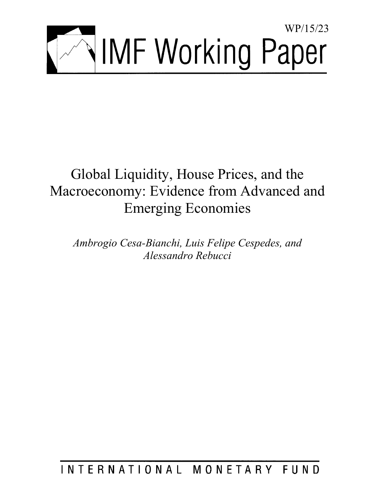

# Global Liquidity, House Prices, and the Macroeconomy: Evidence from Advanced and Emerging Economies

*Ambrogio Cesa-Bianchi, Luis Felipe Cespedes, and Alessandro Rebucci* 

# INTERNATIONAL MONETARY FUND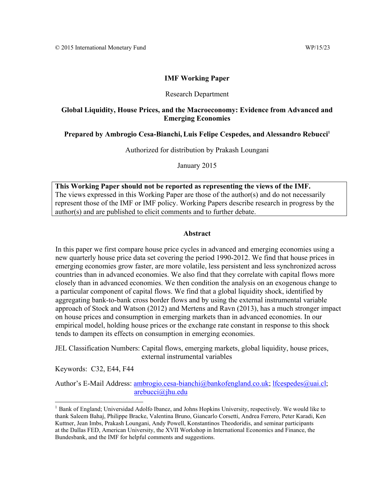#### **IMF Working Paper**

#### Research Department

### **Global Liquidity, House Prices, and the Macroeconomy: Evidence from Advanced and Emerging Economies**

#### **Prepared by Ambrogio Cesa-Bianchi,Luis Felipe Cespedes, and Alessandro Rebucci1**

Authorized for distribution by Prakash Loungani

January 2015

**This Working Paper should not be reported as representing the views of the IMF.**  The views expressed in this Working Paper are those of the author(s) and do not necessarily represent those of the IMF or IMF policy. Working Papers describe research in progress by the author(s) and are published to elicit comments and to further debate.

#### **Abstract**

In this paper we first compare house price cycles in advanced and emerging economies using a new quarterly house price data set covering the period 1990-2012. We find that house prices in emerging economies grow faster, are more volatile, less persistent and less synchronized across countries than in advanced economies. We also find that they correlate with capital flows more closely than in advanced economies. We then condition the analysis on an exogenous change to a particular component of capital flows. We find that a global liquidity shock, identified by aggregating bank-to-bank cross border flows and by using the external instrumental variable approach of Stock and Watson (2012) and Mertens and Ravn (2013), has a much stronger impact on house prices and consumption in emerging markets than in advanced economies. In our empirical model, holding house prices or the exchange rate constant in response to this shock tends to dampen its effects on consumption in emerging economies.

JEL Classification Numbers: Capital flows, emerging markets, global liquidity, house prices, external instrumental variables

Keywords: C32, E44, F44

Author's E-Mail Address: ambrogio.cesa-bianchi@bankofengland.co.uk; lfcespedes@uai.cl; arebucci@jhu.edu

<sup>&</sup>lt;sup>1</sup> Bank of England; Universidad Adolfo Ibanez, and Johns Hopkins University, respectively. We would like to thank Saleem Bahaj, Philippe Bracke, Valentina Bruno, Giancarlo Corsetti, Andrea Ferrero, Peter Karadi, Ken Kuttner, Jean Imbs, Prakash Loungani, Andy Powell, Konstantinos Theodoridis, and seminar participants at the Dallas FED, American University, the XVII Workshop in International Economics and Finance, the Bundesbank, and the IMF for helpful comments and suggestions.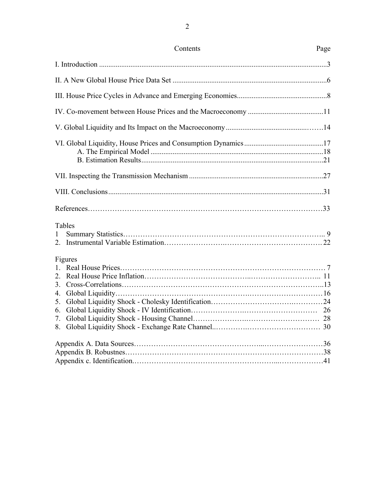| Contents                              | Page |
|---------------------------------------|------|
|                                       |      |
|                                       |      |
|                                       |      |
|                                       |      |
|                                       |      |
|                                       |      |
|                                       |      |
|                                       |      |
|                                       |      |
| Tables<br>$\mathbf{1}$                |      |
| Figures<br>2.<br>3.<br>4.<br>5.<br>6. |      |
|                                       |      |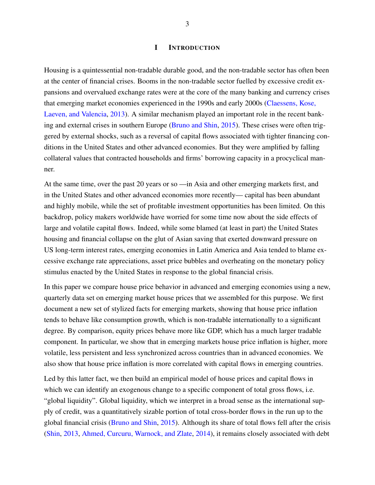#### I INTRODUCTION

Housing is a quintessential non-tradable durable good, and the non-tradable sector has often been at the center of financial crises. Booms in the non-tradable sector fuelled by excessive credit expansions and overvalued exchange rates were at the core of the many banking and currency crises that emerging market economies experienced in the 1990s and early 2000s [\(Claessens, Kose,](#page-34-0) [Laeven, and Valencia,](#page-34-0) [2013\)](#page-34-0). A similar mechanism played an important role in the recent banking and external crises in southern Europe [\(Bruno and Shin,](#page-33-0) [2015\)](#page-33-0). These crises were often triggered by external shocks, such as a reversal of capital flows associated with tighter financing conditions in the United States and other advanced economies. But they were amplified by falling collateral values that contracted households and firms' borrowing capacity in a procyclical manner.

At the same time, over the past 20 years or so —in Asia and other emerging markets first, and in the United States and other advanced economies more recently— capital has been abundant and highly mobile, while the set of profitable investment opportunities has been limited. On this backdrop, policy makers worldwide have worried for some time now about the side effects of large and volatile capital flows. Indeed, while some blamed (at least in part) the United States housing and financial collapse on the glut of Asian saving that exerted downward pressure on US long-term interest rates, emerging economies in Latin America and Asia tended to blame excessive exchange rate appreciations, asset price bubbles and overheating on the monetary policy stimulus enacted by the United States in response to the global financial crisis.

In this paper we compare house price behavior in advanced and emerging economies using a new, quarterly data set on emerging market house prices that we assembled for this purpose. We first document a new set of stylized facts for emerging markets, showing that house price inflation tends to behave like consumption growth, which is non-tradable internationally to a significant degree. By comparison, equity prices behave more like GDP, which has a much larger tradable component. In particular, we show that in emerging markets house price inflation is higher, more volatile, less persistent and less synchronized across countries than in advanced economies. We also show that house price inflation is more correlated with capital flows in emerging countries.

Led by this latter fact, we then build an empirical model of house prices and capital flows in which we can identify an exogenous change to a specific component of total gross flows, i.e. "global liquidity". Global liquidity, which we interpret in a broad sense as the international supply of credit, was a quantitatively sizable portion of total cross-border flows in the run up to the global financial crisis [\(Bruno and Shin,](#page-33-0) [2015\)](#page-33-0). Although its share of total flows fell after the crisis [\(Shin,](#page-35-0) [2013,](#page-35-0) [Ahmed, Curcuru, Warnock, and Zlate,](#page-33-1) [2014\)](#page-33-1), it remains closely associated with debt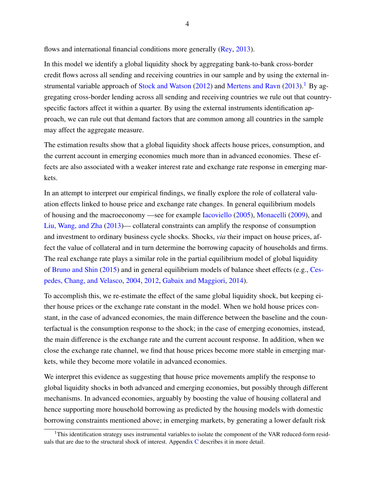flows and international financial conditions more generally [\(Rey,](#page-35-1) [2013\)](#page-35-1).

In this model we identify a global liquidity shock by aggregating bank-to-bank cross-border credit flows across all sending and receiving countries in our sample and by using the external in-strumental variable approach of [Stock and Watson](#page-35-2) [\(2012\)](#page-35-2) and [Mertens and Ravn](#page-34-1) [\(2013\)](#page-34-1).<sup>[1](#page-4-0)</sup> By aggregating cross-border lending across all sending and receiving countries we rule out that countryspecific factors affect it within a quarter. By using the external instruments identification approach, we can rule out that demand factors that are common among all countries in the sample may affect the aggregate measure.

The estimation results show that a global liquidity shock affects house prices, consumption, and the current account in emerging economies much more than in advanced economies. These effects are also associated with a weaker interest rate and exchange rate response in emerging markets.

In an attempt to interpret our empirical findings, we finally explore the role of collateral valuation effects linked to house price and exchange rate changes. In general equilibrium models of housing and the macroeconomy —see for example [Iacoviello](#page-34-2) [\(2005\)](#page-34-2), [Monacelli](#page-34-3) [\(2009\)](#page-34-3), and [Liu, Wang, and Zha](#page-34-4) [\(2013\)](#page-34-4)— collateral constraints can amplify the response of consumption and investment to ordinary business cycle shocks. Shocks, *via* their impact on house prices, affect the value of collateral and in turn determine the borrowing capacity of households and firms. The real exchange rate plays a similar role in the partial equilibrium model of global liquidity of [Bruno and Shin](#page-33-0) [\(2015\)](#page-33-0) and in general equilibrium models of balance sheet effects (e.g., [Ces](#page-33-2)[pedes, Chang, and Velasco,](#page-33-2) [2004,](#page-33-2) [2012,](#page-34-5) [Gabaix and Maggiori,](#page-34-6) [2014\)](#page-34-6).

To accomplish this, we re-estimate the effect of the same global liquidity shock, but keeping either house prices or the exchange rate constant in the model. When we hold house prices constant, in the case of advanced economies, the main difference between the baseline and the counterfactual is the consumption response to the shock; in the case of emerging economies, instead, the main difference is the exchange rate and the current account response. In addition, when we close the exchange rate channel, we find that house prices become more stable in emerging markets, while they become more volatile in advanced economies.

We interpret this evidence as suggesting that house price movements amplify the response to global liquidity shocks in both advanced and emerging economies, but possibly through different mechanisms. In advanced economies, arguably by boosting the value of housing collateral and hence supporting more household borrowing as predicted by the housing models with domestic borrowing constraints mentioned above; in emerging markets, by generating a lower default risk

<span id="page-4-0"></span> $1$ This identification strategy uses instrumental variables to isolate the component of the VAR reduced-form residuals that are due to the structural shock of interest. Appendix [C](#page-41-0) describes it in more detail.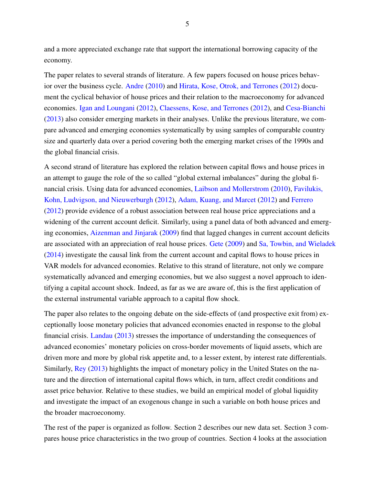and a more appreciated exchange rate that support the international borrowing capacity of the economy.

The paper relates to several strands of literature. A few papers focused on house prices behavior over the business cycle. [Andre](#page-33-3) [\(2010\)](#page-33-3) and [Hirata, Kose, Otrok, and Terrones](#page-34-7) [\(2012\)](#page-34-7) document the cyclical behavior of house prices and their relation to the macroeconomy for advanced economies. [Igan and Loungani](#page-34-8) [\(2012\)](#page-34-8), [Claessens, Kose, and Terrones](#page-34-9) [\(2012\)](#page-34-9), and [Cesa-Bianchi](#page-33-4) [\(2013\)](#page-33-4) also consider emerging markets in their analyses. Unlike the previous literature, we compare advanced and emerging economies systematically by using samples of comparable country size and quarterly data over a period covering both the emerging market crises of the 1990s and the global financial crisis.

A second strand of literature has explored the relation between capital flows and house prices in an attempt to gauge the role of the so called "global external imbalances" during the global financial crisis. Using data for advanced economies, [Laibson and Mollerstrom](#page-34-10) [\(2010\)](#page-34-10), [Favilukis,](#page-34-11) [Kohn, Ludvigson, and Nieuwerburgh](#page-34-11) [\(2012\)](#page-34-11), [Adam, Kuang, and Marcet](#page-33-5) [\(2012\)](#page-33-5) and [Ferrero](#page-34-12) [\(2012\)](#page-34-12) provide evidence of a robust association between real house price appreciations and a widening of the current account deficit. Similarly, using a panel data of both advanced and emerging economies, [Aizenman and Jinjarak](#page-33-6) [\(2009\)](#page-33-6) find that lagged changes in current account deficits are associated with an appreciation of real house prices. [Gete](#page-34-13) [\(2009\)](#page-34-13) and [Sa, Towbin, and Wieladek](#page-35-3) [\(2014\)](#page-35-3) investigate the causal link from the current account and capital flows to house prices in VAR models for advanced economies. Relative to this strand of literature, not only we compare systematically advanced and emerging economies, but we also suggest a novel approach to identifying a capital account shock. Indeed, as far as we are aware of, this is the first application of the external instrumental variable approach to a capital flow shock.

The paper also relates to the ongoing debate on the side-effects of (and prospective exit from) exceptionally loose monetary policies that advanced economies enacted in response to the global financial crisis. [Landau](#page-34-14) [\(2013\)](#page-34-14) stresses the importance of understanding the consequences of advanced economies' monetary policies on cross-border movements of liquid assets, which are driven more and more by global risk appetite and, to a lesser extent, by interest rate differentials. Similarly, [Rey](#page-35-1) [\(2013\)](#page-35-1) highlights the impact of monetary policy in the United States on the nature and the direction of international capital flows which, in turn, affect credit conditions and asset price behavior. Relative to these studies, we build an empirical model of global liquidity and investigate the impact of an exogenous change in such a variable on both house prices and the broader macroeconomy.

The rest of the paper is organized as follow. Section 2 describes our new data set. Section 3 compares house price characteristics in the two group of countries. Section 4 looks at the association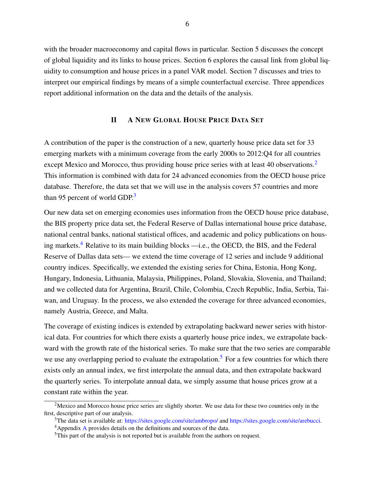with the broader macroeconomy and capital flows in particular. Section 5 discusses the concept of global liquidity and its links to house prices. Section 6 explores the causal link from global liquidity to consumption and house prices in a panel VAR model. Section 7 discusses and tries to interpret our empirical findings by means of a simple counterfactual exercise. Three appendices report additional information on the data and the details of the analysis.

#### II A NEW GLOBAL HOUSE PRICE DATA SET

A contribution of the paper is the construction of a new, quarterly house price data set for 33 emerging markets with a minimum coverage from the early 2000s to 2012:Q4 for all countries except Mexico and Morocco, thus providing house price series with at least 40 observations.<sup>[2](#page-6-0)</sup> This information is combined with data for 24 advanced economies from the OECD house price database. Therefore, the data set that we will use in the analysis covers 57 countries and more than 95 percent of world GDP.<sup>[3](#page-6-1)</sup>

Our new data set on emerging economies uses information from the OECD house price database, the BIS property price data set, the Federal Reserve of Dallas international house price database, national central banks, national statistical offices, and academic and policy publications on housing markets. $4$  Relative to its main building blocks —i.e., the OECD, the BIS, and the Federal Reserve of Dallas data sets— we extend the time coverage of 12 series and include 9 additional country indices. Specifically, we extended the existing series for China, Estonia, Hong Kong, Hungary, Indonesia, Lithuania, Malaysia, Philippines, Poland, Slovakia, Slovenia, and Thailand; and we collected data for Argentina, Brazil, Chile, Colombia, Czech Republic, India, Serbia, Taiwan, and Uruguay. In the process, we also extended the coverage for three advanced economies, namely Austria, Greece, and Malta.

The coverage of existing indices is extended by extrapolating backward newer series with historical data. For countries for which there exists a quarterly house price index, we extrapolate backward with the growth rate of the historical series. To make sure that the two series are comparable we use any overlapping period to evaluate the extrapolation.<sup>[5](#page-6-3)</sup> For a few countries for which there exists only an annual index, we first interpolate the annual data, and then extrapolate backward the quarterly series. To interpolate annual data, we simply assume that house prices grow at a constant rate within the year.

<span id="page-6-0"></span><sup>&</sup>lt;sup>2</sup>Mexico and Morocco house price series are slightly shorter. We use data for these two countries only in the first, descriptive part of our analysis.

<span id="page-6-1"></span><sup>3</sup>The data set is available at: [https://sites.google.com/site/ambropo/](https://sites.google.com/site/ambropo) and [https://sites.google.com/site/arebucci.](https://sites.google.com/site/arebucci)

<span id="page-6-2"></span><sup>4</sup>Appendix [A](#page-36-0) provides details on the definitions and sources of the data.

<span id="page-6-3"></span><sup>5</sup>This part of the analysis is not reported but is available from the authors on request.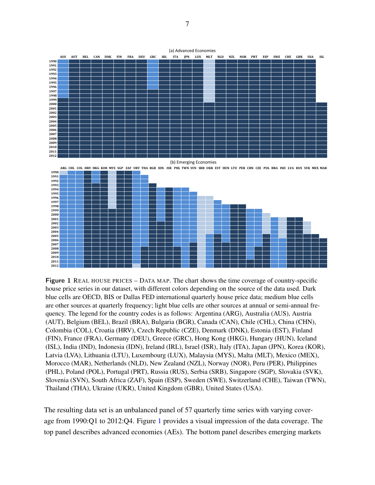(a) Advanced Economies

<span id="page-7-0"></span>

Figure 1 REAL HOUSE PRICES – DATA MAP. The chart shows the time coverage of country-specific house price series in our dataset, with different colors depending on the source of the data used. Dark blue cells are OECD, BIS or Dallas FED international quarterly house price data; medium blue cells are other sources at quarterly frequency; light blue cells are other sources at annual or semi-annual frequency. The legend for the country codes is as follows: Argentina (ARG), Australia (AUS), Austria (AUT), Belgium (BEL), Brazil (BRA), Bulgaria (BGR), Canada (CAN), Chile (CHL), China (CHN), Colombia (COL), Croatia (HRV), Czech Republic (CZE), Denmark (DNK), Estonia (EST), Finland (FIN), France (FRA), Germany (DEU), Greece (GRC), Hong Kong (HKG), Hungary (HUN), Iceland (ISL), India (IND), Indonesia (IDN), Ireland (IRL), Israel (ISR), Italy (ITA), Japan (JPN), Korea (KOR), Latvia (LVA), Lithuania (LTU), Luxembourg (LUX), Malaysia (MYS), Malta (MLT), Mexico (MEX), Morocco (MAR), Netherlands (NLD), New Zealand (NZL), Norway (NOR), Peru (PER), Philippines (PHL), Poland (POL), Portugal (PRT), Russia (RUS), Serbia (SRB), Singapore (SGP), Slovakia (SVK), Slovenia (SVN), South Africa (ZAF), Spain (ESP), Sweden (SWE), Switzerland (CHE), Taiwan (TWN), Thailand (THA), Ukraine (UKR), United Kingdom (GBR), United States (USA).

The resulting data set is an unbalanced panel of 57 quarterly time series with varying coverage from 1990:Q1 to 2012:Q4. Figure [1](#page-7-0) provides a visual impression of the data coverage. The top panel describes advanced economies (AEs). The bottom panel describes emerging markets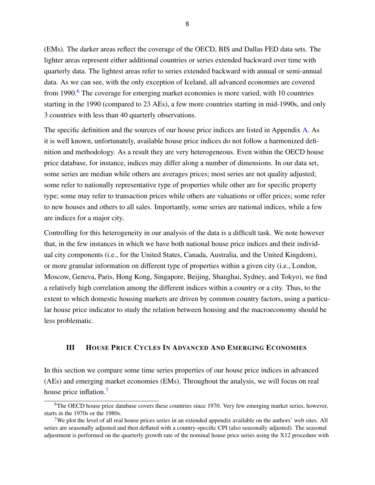(EMs). The darker areas reflect the coverage of the OECD, BIS and Dallas FED data sets. The lighter areas represent either additional countries or series extended backward over time with quarterly data. The lightest areas refer to series extended backward with annual or semi-annual data. As we can see, with the only exception of Iceland, all advanced economies are covered from 1990.<sup>[6](#page-8-0)</sup> The coverage for emerging market economies is more varied, with 10 countries starting in the 1990 (compared to 23 AEs), a few more countries starting in mid-1990s, and only 3 countries with less than 40 quarterly observations.

The specific definition and the sources of our house price indices are listed in Appendix [A.](#page-36-0) As it is well known, unfortunately, available house price indices do not follow a harmonized definition and methodology. As a result they are very heterogeneous. Even within the OECD house price database, for instance, indices may differ along a number of dimensions. In our data set, some series are median while others are averages prices; most series are not quality adjusted; some refer to nationally representative type of properties while other are for specific property type; some may refer to transaction prices while others are valuations or offer prices; some refer to new houses and others to all sales. Importantly, some series are national indices, while a few are indices for a major city.

Controlling for this heterogeneity in our analysis of the data is a difficult task. We note however that, in the few instances in which we have both national house price indices and their individual city components (i.e., for the United States, Canada, Australia, and the United Kingdom), or more granular information on different type of properties within a given city (i.e., London, Moscow, Geneva, Paris, Hong Kong, Singapore, Beijing, Shanghai, Sydney, and Tokyo), we find a relatively high correlation among the different indices within a country or a city. Thus, to the extent to which domestic housing markets are driven by common country factors, using a particular house price indicator to study the relation between housing and the macroeconomy should be less problematic.

#### <span id="page-8-2"></span>III HOUSE PRICE CYCLES IN ADVANCED AND EMERGING ECONOMIES

In this section we compare some time series properties of our house price indices in advanced (AEs) and emerging market economies (EMs). Throughout the analysis, we will focus on real house price inflation.<sup>[7](#page-8-1)</sup>

<span id="page-8-0"></span><sup>6</sup>The OECD house price database covers these countries since 1970. Very few emerging market series, however, starts in the 1970s or the 1980s.

<span id="page-8-1"></span><sup>&</sup>lt;sup>7</sup>We plot the level of all real house prices series in an extended appendix available on the authors' web sites. All series are seasonally adjusted and then deflated with a country-specific CPI (also seasonally adjusted). The seasonal adjustment is performed on the quarterly growth rate of the nominal house price series using the X12 procedure with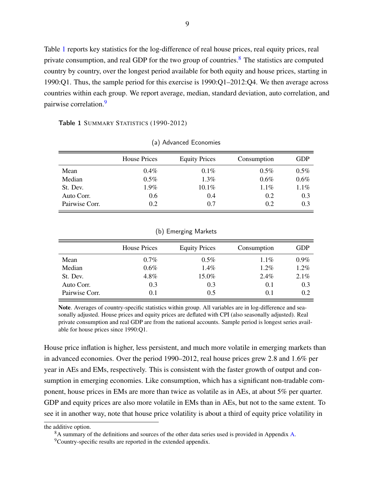Table [1](#page-9-0) reports key statistics for the log-difference of real house prices, real equity prices, real private consumption, and real GDP for the two group of countries.<sup>[8](#page-9-1)</sup> The statistics are computed country by country, over the longest period available for both equity and house prices, starting in 1990:Q1. Thus, the sample period for this exercise is 1990:Q1–2012:Q4. We then average across countries within each group. We report average, median, standard deviation, auto correlation, and pairwise correlation.<sup>[9](#page-9-2)</sup>

<span id="page-9-0"></span>Table 1 SUMMARY STATISTICS (1990-2012)

|                | <b>House Prices</b> | <b>Equity Prices</b> | Consumption | <b>GDP</b> |
|----------------|---------------------|----------------------|-------------|------------|
| Mean           | $0.4\%$             | $0.1\%$              | $0.5\%$     | $0.5\%$    |
| Median         | $0.5\%$             | $1.3\%$              | 0.6%        | $0.6\%$    |
| St. Dev.       | $1.9\%$             | 10.1%                | $1.1\%$     | $1.1\%$    |
| Auto Corr.     | 0.6                 | 0.4                  | 0.2         | 0.3        |
| Pairwise Corr. | 0.2                 | 0.7                  | 0.2         | 0.3        |

(a) Advanced Economies

|                | <b>House Prices</b> | <b>Equity Prices</b> | Consumption | <b>GDP</b> |  |
|----------------|---------------------|----------------------|-------------|------------|--|
| Mean           | $0.7\%$             | $0.5\%$              | $1.1\%$     | $0.9\%$    |  |
| Median         | 0.6%                | $1.4\%$              | $1.2\%$     | 1.2%       |  |
| St. Dev.       | 4.8%                | 15.0%                | 2.4%        | 2.1%       |  |
| Auto Corr.     | 0.3                 | 0.3                  | 0.1         | 0.3        |  |
| Pairwise Corr. | $0.1\,$             | 0.5                  | 0.1         | 0.2        |  |

(b) Emerging Markets

Note. Averages of country-specific statistics within group. All variables are in log-difference and seasonally adjusted. House prices and equity prices are deflated with CPI (also seasonally adjusted). Real private consumption and real GDP are from the national accounts. Sample period is longest series available for house prices since 1990:Q1.

House price inflation is higher, less persistent, and much more volatile in emerging markets than in advanced economies. Over the period 1990–2012, real house prices grew 2.8 and 1.6% per year in AEs and EMs, respectively. This is consistent with the faster growth of output and consumption in emerging economies. Like consumption, which has a significant non-tradable component, house prices in EMs are more than twice as volatile as in AEs, at about 5% per quarter. GDP and equity prices are also more volatile in EMs than in AEs, but not to the same extent. To see it in another way, note that house price volatility is about a third of equity price volatility in

the additive option.

<span id="page-9-1"></span><sup>&</sup>lt;sup>8</sup>A summary of the definitions and sources of the other data series used is provided in Appendix [A.](#page-36-0)

<span id="page-9-2"></span><sup>9</sup>Country-specific results are reported in the extended appendix.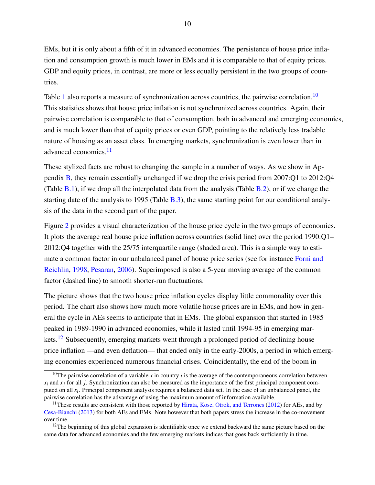EMs, but it is only about a fifth of it in advanced economies. The persistence of house price inflation and consumption growth is much lower in EMs and it is comparable to that of equity prices. GDP and equity prices, in contrast, are more or less equally persistent in the two groups of countries.

Table [1](#page-9-0) also reports a measure of synchronization across countries, the pairwise correlation.<sup>[10](#page-10-0)</sup> This statistics shows that house price inflation is not synchronized across countries. Again, their pairwise correlation is comparable to that of consumption, both in advanced and emerging economies, and is much lower than that of equity prices or even GDP, pointing to the relatively less tradable nature of housing as an asset class. In emerging markets, synchronization is even lower than in advanced economies.<sup>[11](#page-10-1)</sup>

These stylized facts are robust to changing the sample in a number of ways. As we show in Appendix [B,](#page-38-0) they remain essentially unchanged if we drop the crisis period from 2007:Q1 to 2012:Q4 (Table [B.1\)](#page-38-1), if we drop all the interpolated data from the analysis (Table [B.2\)](#page-39-0), or if we change the starting date of the analysis to 1995 (Table [B.3\)](#page-40-0), the same starting point for our conditional analysis of the data in the second part of the paper.

Figure [2](#page-11-0) provides a visual characterization of the house price cycle in the two groups of economies. It plots the average real house price inflation across countries (solid line) over the period 1990:Q1– 2012:Q4 together with the 25/75 interquartile range (shaded area). This is a simple way to estimate a common factor in our unbalanced panel of house price series (see for instance [Forni and](#page-34-15) [Reichlin,](#page-34-15) [1998,](#page-34-15) [Pesaran,](#page-35-4) [2006\)](#page-35-4). Superimposed is also a 5-year moving average of the common factor (dashed line) to smooth shorter-run fluctuations.

The picture shows that the two house price inflation cycles display little commonality over this period. The chart also shows how much more volatile house prices are in EMs, and how in general the cycle in AEs seems to anticipate that in EMs. The global expansion that started in 1985 peaked in 1989-1990 in advanced economies, while it lasted until 1994-95 in emerging mar-kets.<sup>[12](#page-10-2)</sup> Subsequently, emerging markets went through a prolonged period of declining house price inflation —and even deflation— that ended only in the early-2000s, a period in which emerging economies experienced numerous financial crises. Coincidentally, the end of the boom in

<span id="page-10-0"></span><sup>&</sup>lt;sup>10</sup>The pairwise correlation of a variable  $x$  in country  $i$  is the average of the contemporaneous correlation between  $x_i$  and  $x_j$  for all *j*. Synchronization can also be measured as the importance of the first principal component computed on all x<sub>i</sub>. Principal component analysis requires a balanced data set. In the case of an unbalanced panel, the pairwise correlation has the advantage of using the maximum amount of information available.

<span id="page-10-1"></span><sup>&</sup>lt;sup>11</sup>These results are consistent with those reported by [Hirata, Kose, Otrok, and Terrones](#page-34-7) [\(2012\)](#page-34-7) for AEs, and by [Cesa-Bianchi](#page-33-4) [\(2013\)](#page-33-4) for both AEs and EMs. Note however that both papers stress the increase in the co-movement over time.

<span id="page-10-2"></span><sup>&</sup>lt;sup>12</sup>The beginning of this global expansion is identifiable once we extend backward the same picture based on the same data for advanced economies and the few emerging markets indices that goes back sufficiently in time.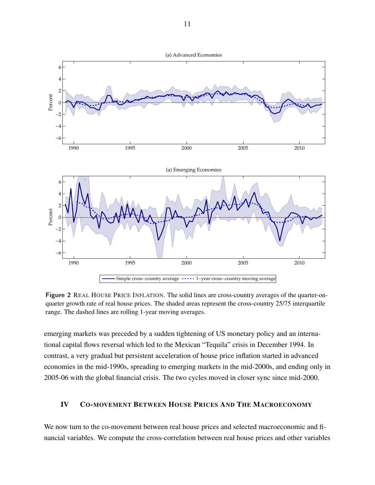<span id="page-11-0"></span>

Figure 2 REAL HOUSE PRICE INFLATION. The solid lines are cross-country averages of the quarter-onquarter growth rate of real house prices. The shaded areas represent the cross-country 25/75 interquartile range. The dashed lines are rolling 1-year moving averages.

emerging markets was preceded by a sudden tightening of US monetary policy and an international capital flows reversal which led to the Mexican "Tequila" crisis in December 1994. In contrast, a very gradual but persistent acceleration of house price inflation started in advanced economies in the mid-1990s, spreading to emerging markets in the mid-2000s, and ending only in 2005-06 with the global financial crisis. The two cycles moved in closer sync since mid-2000.

# <span id="page-11-1"></span>IV CO-MOVEMENT BETWEEN HOUSE PRICES AND THE MACROECONOMY

We now turn to the co-movement between real house prices and selected macroeconomic and financial variables. We compute the cross-correlation between real house prices and other variables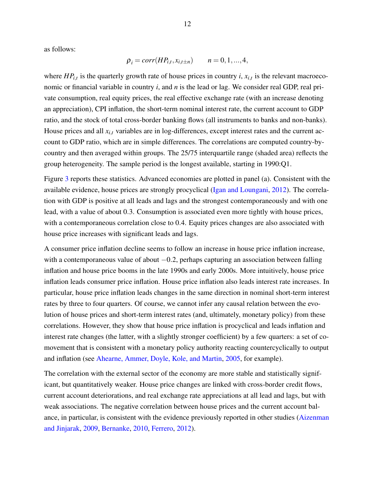as follows:

$$
\rho_i = corr(HP_{i,t}, x_{i,t \pm n}) \qquad n = 0, 1, ..., 4,
$$

where  $HP_{i,t}$  is the quarterly growth rate of house prices in country  $i$ ,  $x_{i,t}$  is the relevant macroeconomic or financial variable in country *i*, and *n* is the lead or lag. We consider real GDP, real private consumption, real equity prices, the real effective exchange rate (with an increase denoting an appreciation), CPI inflation, the short-term nominal interest rate, the current account to GDP ratio, and the stock of total cross-border banking flows (all instruments to banks and non-banks). House prices and all  $x_{i,t}$  variables are in log-differences, except interest rates and the current account to GDP ratio, which are in simple differences. The correlations are computed country-bycountry and then averaged within groups. The 25/75 interquartile range (shaded area) reflects the group heterogeneity. The sample period is the longest available, starting in 1990:Q1.

Figure [3](#page-13-0) reports these statistics. Advanced economies are plotted in panel (a). Consistent with the available evidence, house prices are strongly procyclical [\(Igan and Loungani,](#page-34-8) [2012\)](#page-34-8). The correlation with GDP is positive at all leads and lags and the strongest contemporaneously and with one lead, with a value of about 0.3. Consumption is associated even more tightly with house prices, with a contemporaneous correlation close to 0.4. Equity prices changes are also associated with house price increases with significant leads and lags.

A consumer price inflation decline seems to follow an increase in house price inflation increase, with a contemporaneous value of about −0.2, perhaps capturing an association between falling inflation and house price booms in the late 1990s and early 2000s. More intuitively, house price inflation leads consumer price inflation. House price inflation also leads interest rate increases. In particular, house price inflation leads changes in the same direction in nominal short-term interest rates by three to four quarters. Of course, we cannot infer any causal relation between the evolution of house prices and short-term interest rates (and, ultimately, monetary policy) from these correlations. However, they show that house price inflation is procyclical and leads inflation and interest rate changes (the latter, with a slightly stronger coefficient) by a few quarters: a set of comovement that is consistent with a monetary policy authority reacting countercyclically to output and inflation (see [Ahearne, Ammer, Doyle, Kole, and Martin,](#page-33-7) [2005,](#page-33-7) for example).

The correlation with the external sector of the economy are more stable and statistically significant, but quantitatively weaker. House price changes are linked with cross-border credit flows, current account deteriorations, and real exchange rate appreciations at all lead and lags, but with weak associations. The negative correlation between house prices and the current account balance, in particular, is consistent with the evidence previously reported in other studies [\(Aizenman](#page-33-6) [and Jinjarak,](#page-33-6) [2009,](#page-33-6) [Bernanke,](#page-33-8) [2010,](#page-33-8) [Ferrero,](#page-34-12) [2012\)](#page-34-12).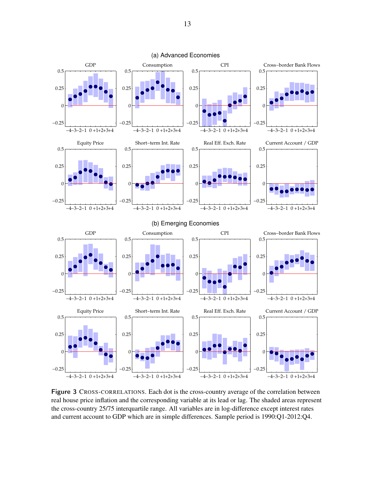<span id="page-13-0"></span>

Figure 3 CROSS-CORRELATIONS. Each dot is the cross-country average of the correlation between real house price inflation and the corresponding variable at its lead or lag. The shaded areas represent the cross-country 25/75 interquartile range. All variables are in log-difference except interest rates and current account to GDP which are in simple differences. Sample period is 1990:Q1-2012:Q4.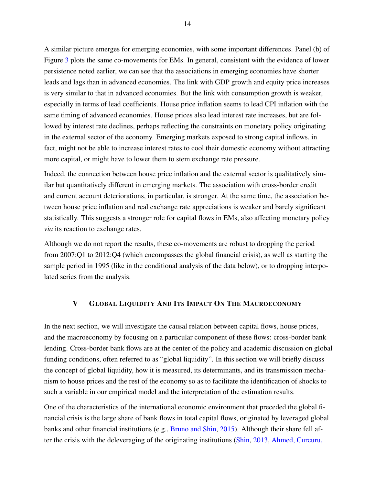A similar picture emerges for emerging economies, with some important differences. Panel (b) of Figure [3](#page-13-0) plots the same co-movements for EMs. In general, consistent with the evidence of lower persistence noted earlier, we can see that the associations in emerging economies have shorter leads and lags than in advanced economies. The link with GDP growth and equity price increases is very similar to that in advanced economies. But the link with consumption growth is weaker, especially in terms of lead coefficients. House price inflation seems to lead CPI inflation with the same timing of advanced economies. House prices also lead interest rate increases, but are followed by interest rate declines, perhaps reflecting the constraints on monetary policy originating in the external sector of the economy. Emerging markets exposed to strong capital inflows, in fact, might not be able to increase interest rates to cool their domestic economy without attracting more capital, or might have to lower them to stem exchange rate pressure.

Indeed, the connection between house price inflation and the external sector is qualitatively similar but quantitatively different in emerging markets. The association with cross-border credit and current account deteriorations, in particular, is stronger. At the same time, the association between house price inflation and real exchange rate appreciations is weaker and barely significant statistically. This suggests a stronger role for capital flows in EMs, also affecting monetary policy *via* its reaction to exchange rates.

Although we do not report the results, these co-movements are robust to dropping the period from 2007:Q1 to 2012:Q4 (which encompasses the global financial crisis), as well as starting the sample period in 1995 (like in the conditional analysis of the data below), or to dropping interpolated series from the analysis.

#### V GLOBAL LIQUIDITY AND ITS IMPACT ON THE MACROECONOMY

In the next section, we will investigate the causal relation between capital flows, house prices, and the macroeconomy by focusing on a particular component of these flows: cross-border bank lending. Cross-border bank flows are at the center of the policy and academic discussion on global funding conditions, often referred to as "global liquidity". In this section we will briefly discuss the concept of global liquidity, how it is measured, its determinants, and its transmission mechanism to house prices and the rest of the economy so as to facilitate the identification of shocks to such a variable in our empirical model and the interpretation of the estimation results.

One of the characteristics of the international economic environment that preceded the global financial crisis is the large share of bank flows in total capital flows, originated by leveraged global banks and other financial institutions (e.g., [Bruno and Shin,](#page-33-0) [2015\)](#page-33-0). Although their share fell after the crisis with the deleveraging of the originating institutions [\(Shin,](#page-35-0) [2013,](#page-35-0) [Ahmed, Curcuru,](#page-33-1)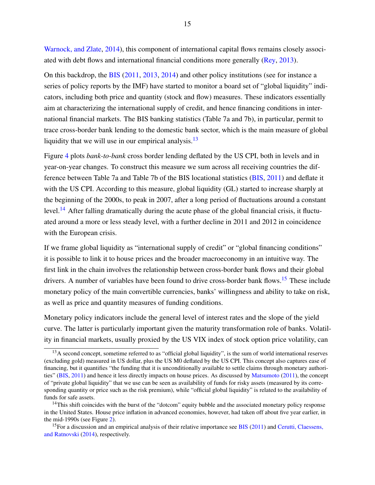[Warnock, and Zlate,](#page-33-1) [2014\)](#page-33-1), this component of international capital flows remains closely associ-

ated with debt flows and international financial conditions more generally [\(Rey,](#page-35-1) [2013\)](#page-35-1).

On this backdrop, the [BIS](#page-33-9) [\(2011,](#page-33-9) [2013,](#page-33-10) [2014\)](#page-33-11) and other policy institutions (see for instance a series of policy reports by the IMF) have started to monitor a board set of "global liquidity" indicators, including both price and quantity (stock and flow) measures. These indicators essentially aim at characterizing the international supply of credit, and hence financing conditions in international financial markets. The BIS banking statistics (Table 7a and 7b), in particular, permit to trace cross-border bank lending to the domestic bank sector, which is the main measure of global liquidity that we will use in our empirical analysis. $13$ 

Figure [4](#page-16-0) plots *bank-to-bank* cross border lending deflated by the US CPI, both in levels and in year-on-year changes. To construct this measure we sum across all receiving countries the difference between Table 7a and Table 7b of the BIS locational statistics [\(BIS,](#page-33-9) [2011\)](#page-33-9) and deflate it with the US CPI. According to this measure, global liquidity (GL) started to increase sharply at the beginning of the 2000s, to peak in 2007, after a long period of fluctuations around a constant level.<sup>[14](#page-15-1)</sup> After falling dramatically during the acute phase of the global financial crisis, it fluctuated around a more or less steady level, with a further decline in 2011 and 2012 in coincidence with the European crisis.

If we frame global liquidity as "international supply of credit" or "global financing conditions" it is possible to link it to house prices and the broader macroeconomy in an intuitive way. The first link in the chain involves the relationship between cross-border bank flows and their global drivers. A number of variables have been found to drive cross-border bank flows.<sup>[15](#page-15-2)</sup> These include monetary policy of the main convertible currencies, banks' willingness and ability to take on risk, as well as price and quantity measures of funding conditions.

Monetary policy indicators include the general level of interest rates and the slope of the yield curve. The latter is particularly important given the maturity transformation role of banks. Volatility in financial markets, usually proxied by the US VIX index of stock option price volatility, can

<span id="page-15-0"></span> $^{13}$ A second concept, sometime referred to as "official global liquidity", is the sum of world international reserves (excluding gold) measured in US dollar, plus the US M0 deflated by the US CPI. This concept also captures ease of financing, but it quantifies "the funding that it is unconditionally available to settle claims through monetary authorities" [\(BIS,](#page-33-9) [2011\)](#page-33-9) and hence it less directly impacts on house prices. As discussed by [Matsumoto](#page-34-16) [\(2011\)](#page-34-16), the concept of "private global liquidity" that we use can be seen as availability of funds for risky assets (measured by its corresponding quantity or price such as the risk premium), while "official global liquidity" is related to the availability of funds for safe assets.

<span id="page-15-1"></span> $14$ This shift coincides with the burst of the "dotcom" equity bubble and the associated monetary policy response in the United States. House price inflation in advanced economies, however, had taken off about five year earlier, in the mid-1990s (see Figure [2\)](#page-11-0).

<span id="page-15-2"></span><sup>&</sup>lt;sup>15</sup>For a discussion and an empirical analysis of their relative importance see [BIS](#page-33-9) [\(2011\)](#page-33-9) and [Cerutti, Claessens,](#page-33-12) [and Ratnovski](#page-33-12) [\(2014\)](#page-33-12), respectively.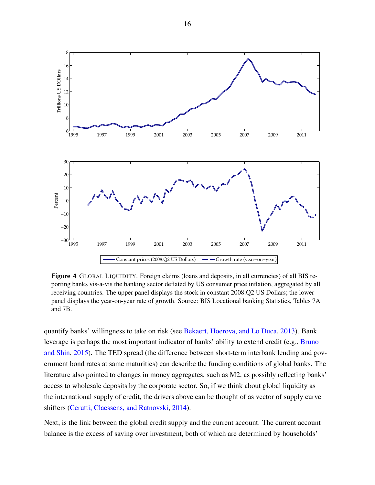<span id="page-16-0"></span>

Figure 4 GLOBAL LIQUIDITY. Foreign claims (loans and deposits, in all currencies) of all BIS reporting banks vis-a-vis the banking sector deflated by US consumer price inflation, aggregated by all receiving countries. The upper panel displays the stock in constant 2008:Q2 US Dollars; the lower panel displays the year-on-year rate of growth. Source: BIS Locational banking Statistics, Tables 7A and 7B.

quantify banks' willingness to take on risk (see [Bekaert, Hoerova, and Lo Duca,](#page-33-13) [2013\)](#page-33-13). Bank leverage is perhaps the most important indicator of banks' ability to extend credit (e.g., [Bruno](#page-33-0) [and Shin,](#page-33-0) [2015\)](#page-33-0). The TED spread (the difference between short-term interbank lending and government bond rates at same maturities) can describe the funding conditions of global banks. The literature also pointed to changes in money aggregates, such as M2, as possibly reflecting banks' access to wholesale deposits by the corporate sector. So, if we think about global liquidity as the international supply of credit, the drivers above can be thought of as vector of supply curve shifters [\(Cerutti, Claessens, and Ratnovski,](#page-33-12) [2014\)](#page-33-12).

Next, is the link between the global credit supply and the current account. The current account balance is the excess of saving over investment, both of which are determined by households'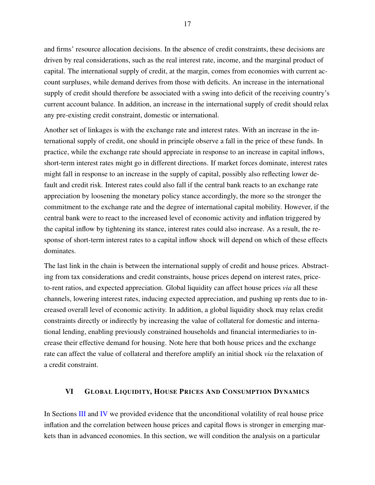and firms' resource allocation decisions. In the absence of credit constraints, these decisions are driven by real considerations, such as the real interest rate, income, and the marginal product of capital. The international supply of credit, at the margin, comes from economies with current account surpluses, while demand derives from those with deficits. An increase in the international supply of credit should therefore be associated with a swing into deficit of the receiving country's current account balance. In addition, an increase in the international supply of credit should relax any pre-existing credit constraint, domestic or international.

Another set of linkages is with the exchange rate and interest rates. With an increase in the international supply of credit, one should in principle observe a fall in the price of these funds. In practice, while the exchange rate should appreciate in response to an increase in capital inflows, short-term interest rates might go in different directions. If market forces dominate, interest rates might fall in response to an increase in the supply of capital, possibly also reflecting lower default and credit risk. Interest rates could also fall if the central bank reacts to an exchange rate appreciation by loosening the monetary policy stance accordingly, the more so the stronger the commitment to the exchange rate and the degree of international capital mobility. However, if the central bank were to react to the increased level of economic activity and inflation triggered by the capital inflow by tightening its stance, interest rates could also increase. As a result, the response of short-term interest rates to a capital inflow shock will depend on which of these effects dominates.

The last link in the chain is between the international supply of credit and house prices. Abstracting from tax considerations and credit constraints, house prices depend on interest rates, priceto-rent ratios, and expected appreciation. Global liquidity can affect house prices *via* all these channels, lowering interest rates, inducing expected appreciation, and pushing up rents due to increased overall level of economic activity. In addition, a global liquidity shock may relax credit constraints directly or indirectly by increasing the value of collateral for domestic and international lending, enabling previously constrained households and financial intermediaries to increase their effective demand for housing. Note here that both house prices and the exchange rate can affect the value of collateral and therefore amplify an initial shock *via* the relaxation of a credit constraint.

#### VI GLOBAL LIQUIDITY, HOUSE PRICES AND CONSUMPTION DYNAMICS

In Sections [III](#page-8-2) and [IV](#page-11-1) we provided evidence that the unconditional volatility of real house price inflation and the correlation between house prices and capital flows is stronger in emerging markets than in advanced economies. In this section, we will condition the analysis on a particular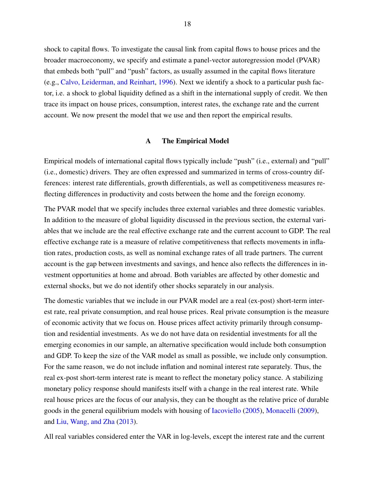shock to capital flows. To investigate the causal link from capital flows to house prices and the broader macroeconomy, we specify and estimate a panel-vector autoregression model (PVAR) that embeds both "pull" and "push" factors, as usually assumed in the capital flows literature (e.g., [Calvo, Leiderman, and Reinhart,](#page-33-14) [1996\)](#page-33-14). Next we identify a shock to a particular push factor, i.e. a shock to global liquidity defined as a shift in the international supply of credit. We then trace its impact on house prices, consumption, interest rates, the exchange rate and the current account. We now present the model that we use and then report the empirical results.

#### A The Empirical Model

Empirical models of international capital flows typically include "push" (i.e., external) and "pull" (i.e., domestic) drivers. They are often expressed and summarized in terms of cross-country differences: interest rate differentials, growth differentials, as well as competitiveness measures reflecting differences in productivity and costs between the home and the foreign economy.

The PVAR model that we specify includes three external variables and three domestic variables. In addition to the measure of global liquidity discussed in the previous section, the external variables that we include are the real effective exchange rate and the current account to GDP. The real effective exchange rate is a measure of relative competitiveness that reflects movements in inflation rates, production costs, as well as nominal exchange rates of all trade partners. The current account is the gap between investments and savings, and hence also reflects the differences in investment opportunities at home and abroad. Both variables are affected by other domestic and external shocks, but we do not identify other shocks separately in our analysis.

The domestic variables that we include in our PVAR model are a real (ex-post) short-term interest rate, real private consumption, and real house prices. Real private consumption is the measure of economic activity that we focus on. House prices affect activity primarily through consumption and residential investments. As we do not have data on residential investments for all the emerging economies in our sample, an alternative specification would include both consumption and GDP. To keep the size of the VAR model as small as possible, we include only consumption. For the same reason, we do not include inflation and nominal interest rate separately. Thus, the real ex-post short-term interest rate is meant to reflect the monetary policy stance. A stabilizing monetary policy response should manifests itself with a change in the real interest rate. While real house prices are the focus of our analysis, they can be thought as the relative price of durable goods in the general equilibrium models with housing of [Iacoviello](#page-34-2) [\(2005\)](#page-34-2), [Monacelli](#page-34-3) [\(2009\)](#page-34-3), and [Liu, Wang, and Zha](#page-34-4) [\(2013\)](#page-34-4).

All real variables considered enter the VAR in log-levels, except the interest rate and the current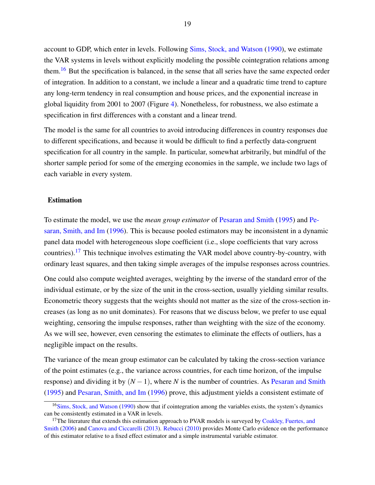account to GDP, which enter in levels. Following [Sims, Stock, and Watson](#page-35-5) [\(1990\)](#page-35-5), we estimate the VAR systems in levels without explicitly modeling the possible cointegration relations among them.[16](#page-19-0) But the specification is balanced, in the sense that all series have the same expected order of integration. In addition to a constant, we include a linear and a quadratic time trend to capture any long-term tendency in real consumption and house prices, and the exponential increase in global liquidity from 2001 to 2007 (Figure [4\)](#page-16-0). Nonetheless, for robustness, we also estimate a specification in first differences with a constant and a linear trend.

The model is the same for all countries to avoid introducing differences in country responses due to different specifications, and because it would be difficult to find a perfectly data-congruent specification for all country in the sample. In particular, somewhat arbitrarily, but mindful of the shorter sample period for some of the emerging economies in the sample, we include two lags of each variable in every system.

#### Estimation

To estimate the model, we use the *mean group estimator* of [Pesaran and Smith](#page-35-6) [\(1995\)](#page-35-6) and [Pe](#page-35-7)[saran, Smith, and Im](#page-35-7) [\(1996\)](#page-35-7). This is because pooled estimators may be inconsistent in a dynamic panel data model with heterogeneous slope coefficient (i.e., slope coefficients that vary across countries).<sup>[17](#page-19-1)</sup> This technique involves estimating the VAR model above country-by-country, with ordinary least squares, and then taking simple averages of the impulse responses across countries.

One could also compute weighted averages, weighting by the inverse of the standard error of the individual estimate, or by the size of the unit in the cross-section, usually yielding similar results. Econometric theory suggests that the weights should not matter as the size of the cross-section increases (as long as no unit dominates). For reasons that we discuss below, we prefer to use equal weighting, censoring the impulse responses, rather than weighting with the size of the economy. As we will see, however, even censoring the estimates to eliminate the effects of outliers, has a negligible impact on the results.

The variance of the mean group estimator can be calculated by taking the cross-section variance of the point estimates (e.g., the variance across countries, for each time horizon, of the impulse response) and dividing it by  $(N-1)$ , where *N* is the number of countries. As [Pesaran and Smith](#page-35-6) [\(1995\)](#page-35-6) and [Pesaran, Smith, and Im](#page-35-7) [\(1996\)](#page-35-7) prove, this adjustment yields a consistent estimate of

<span id="page-19-0"></span><sup>&</sup>lt;sup>16</sup>[Sims, Stock, and Watson](#page-35-5) [\(1990\)](#page-35-5) show that if cointegration among the variables exists, the system's dynamics can be consistently estimated in a VAR in levels.

<span id="page-19-1"></span><sup>&</sup>lt;sup>17</sup>The literature that extends this estimation approach to PVAR models is surveyed by [Coakley, Fuertes, and](#page-34-17) [Smith](#page-34-17) [\(2006\)](#page-34-17) and [Canova and Ciccarelli](#page-33-15) [\(2013\)](#page-33-15). [Rebucci](#page-35-8) [\(2010\)](#page-35-8) provides Monte Carlo evidence on the performance of this estimator relative to a fixed effect estimator and a simple instrumental variable estimator.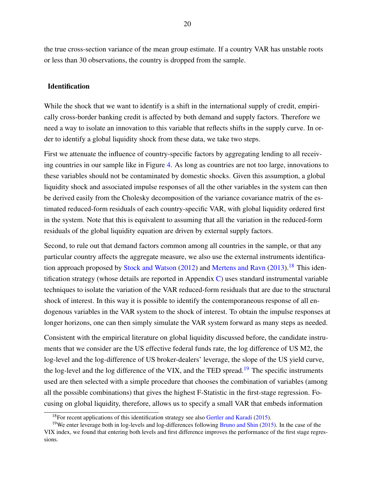the true cross-section variance of the mean group estimate. If a country VAR has unstable roots or less than 30 observations, the country is dropped from the sample.

#### **Identification**

While the shock that we want to identify is a shift in the international supply of credit, empirically cross-border banking credit is affected by both demand and supply factors. Therefore we need a way to isolate an innovation to this variable that reflects shifts in the supply curve. In order to identify a global liquidity shock from these data, we take two steps.

First we attenuate the influence of country-specific factors by aggregating lending to all receiving countries in our sample like in Figure [4.](#page-16-0) As long as countries are not too large, innovations to these variables should not be contaminated by domestic shocks. Given this assumption, a global liquidity shock and associated impulse responses of all the other variables in the system can then be derived easily from the Cholesky decomposition of the variance covariance matrix of the estimated reduced-form residuals of each country-specific VAR, with global liquidity ordered first in the system. Note that this is equivalent to assuming that all the variation in the reduced-form residuals of the global liquidity equation are driven by external supply factors.

Second, to rule out that demand factors common among all countries in the sample, or that any particular country affects the aggregate measure, we also use the external instruments identifica-tion approach proposed by [Stock and Watson](#page-35-2)  $(2012)$  and [Mertens and Ravn](#page-34-1)  $(2013)$ .<sup>[18](#page-20-0)</sup> This identification strategy (whose details are reported in Appendix  $C$ ) uses standard instrumental variable techniques to isolate the variation of the VAR reduced-form residuals that are due to the structural shock of interest. In this way it is possible to identify the contemporaneous response of all endogenous variables in the VAR system to the shock of interest. To obtain the impulse responses at longer horizons, one can then simply simulate the VAR system forward as many steps as needed.

Consistent with the empirical literature on global liquidity discussed before, the candidate instruments that we consider are the US effective federal funds rate, the log difference of US M2, the log-level and the log-difference of US broker-dealers' leverage, the slope of the US yield curve, the log-level and the log difference of the VIX, and the TED spread.<sup>[19](#page-20-1)</sup> The specific instruments used are then selected with a simple procedure that chooses the combination of variables (among all the possible combinations) that gives the highest F-Statistic in the first-stage regression. Focusing on global liquidity, therefore, allows us to specify a small VAR that embeds information

<span id="page-20-1"></span><span id="page-20-0"></span><sup>&</sup>lt;sup>18</sup>For recent applications of this identification strategy see also [Gertler and Karadi](#page-34-18) [\(2015\)](#page-34-18).

<sup>&</sup>lt;sup>19</sup>We enter leverage both in log-levels and log-differences following [Bruno and Shin](#page-33-0) [\(2015\)](#page-33-0). In the case of the VIX index, we found that entering both levels and first difference improves the performance of the first stage regressions.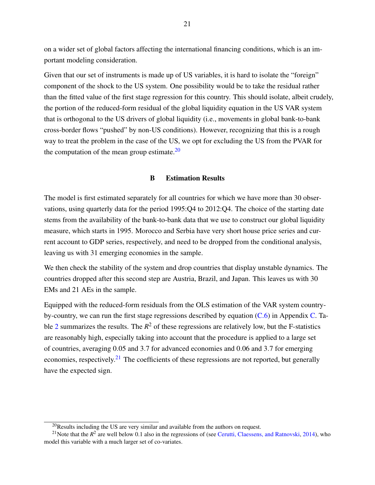on a wider set of global factors affecting the international financing conditions, which is an important modeling consideration.

Given that our set of instruments is made up of US variables, it is hard to isolate the "foreign" component of the shock to the US system. One possibility would be to take the residual rather than the fitted value of the first stage regression for this country. This should isolate, albeit crudely, the portion of the reduced-form residual of the global liquidity equation in the US VAR system that is orthogonal to the US drivers of global liquidity (i.e., movements in global bank-to-bank cross-border flows "pushed" by non-US conditions). However, recognizing that this is a rough way to treat the problem in the case of the US, we opt for excluding the US from the PVAR for the computation of the mean group estimate. $20$ 

#### B Estimation Results

The model is first estimated separately for all countries for which we have more than 30 observations, using quarterly data for the period 1995:Q4 to 2012:Q4. The choice of the starting date stems from the availability of the bank-to-bank data that we use to construct our global liquidity measure, which starts in 1995. Morocco and Serbia have very short house price series and current account to GDP series, respectively, and need to be dropped from the conditional analysis, leaving us with 31 emerging economies in the sample.

We then check the stability of the system and drop countries that display unstable dynamics. The countries dropped after this second step are Austria, Brazil, and Japan. This leaves us with 30 EMs and 21 AEs in the sample.

Equipped with the reduced-form residuals from the OLS estimation of the VAR system countryby-country, we can run the first stage regressions described by equation [\(C.6\)](#page-42-0) in Appendix [C.](#page-41-0) Ta-ble [2](#page-22-0) summarizes the results. The  $R^2$  of these regressions are relatively low, but the F-statistics are reasonably high, especially taking into account that the procedure is applied to a large set of countries, averaging 0.05 and 3.7 for advanced economies and 0.06 and 3.7 for emerging economies, respectively.<sup>[21](#page-21-1)</sup> The coefficients of these regressions are not reported, but generally have the expected sign.

<span id="page-21-1"></span><span id="page-21-0"></span> $^{20}$ Results including the US are very similar and available from the authors on request.

<sup>&</sup>lt;sup>21</sup> Note that the  $R^2$  are well below 0.1 also in the regressions of (see [Cerutti, Claessens, and Ratnovski,](#page-33-12) [2014\)](#page-33-12), who model this variable with a much larger set of co-variates.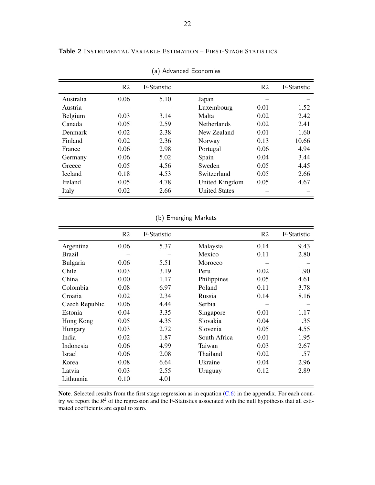| R <sub>2</sub> | F-Statistic |                    | R <sub>2</sub>         | F-Statistic |  |
|----------------|-------------|--------------------|------------------------|-------------|--|
| 0.06           | 5.10        | Japan              |                        |             |  |
|                |             | Luxembourg         | 0.01                   | 1.52        |  |
| 0.03           | 3.14        | Malta              | 0.02                   | 2.42        |  |
| 0.05           | 2.59        | <b>Netherlands</b> | 0.02                   | 2.41        |  |
| 0.02           | 2.38        | New Zealand        | 0.01                   | 1.60        |  |
| 0.02           | 2.36        | Norway             | 0.13                   | 10.66       |  |
| 0.06           | 2.98        | Portugal           | 0.06                   | 4.94        |  |
| 0.06           | 5.02        | Spain              | 0.04                   | 3.44        |  |
| 0.05           | 4.56        | Sweden             | 0.05                   | 4.45        |  |
|                |             |                    | (a) Advanced Economies |             |  |

#### <span id="page-22-0"></span>Table 2 INSTRUMENTAL VARIABLE ESTIMATION – FIRST-STAGE STATISTICS

 $=$ 

(b) Emerging Markets

Iceland 0.18 4.53 Switzerland 0.05 2.66 Ireland 0.05 4.78 United Kingdom 0.05 4.67 Italy 0.02 2.66 United States – –

|                | R <sub>2</sub> | F-Statistic |              | R <sub>2</sub> | F-Statistic |
|----------------|----------------|-------------|--------------|----------------|-------------|
| Argentina      | 0.06           | 5.37        | Malaysia     | 0.14           | 9.43        |
| <b>Brazil</b>  |                |             | Mexico       | 0.11           | 2.80        |
| Bulgaria       | 0.06           | 5.51        | Morocco      |                |             |
| Chile          | 0.03           | 3.19        | Peru         | 0.02           | 1.90        |
| China          | 0.00           | 1.17        | Philippines  | 0.05           | 4.61        |
| Colombia       | 0.08           | 6.97        | Poland       | 0.11           | 3.78        |
| Croatia        | 0.02           | 2.34        | Russia       | 0.14           | 8.16        |
| Czech Republic | 0.06           | 4.44        | Serbia       |                |             |
| Estonia        | 0.04           | 3.35        | Singapore    | 0.01           | 1.17        |
| Hong Kong      | 0.05           | 4.35        | Slovakia     | 0.04           | 1.35        |
| Hungary        | 0.03           | 2.72        | Slovenia     | 0.05           | 4.55        |
| India          | 0.02           | 1.87        | South Africa | 0.01           | 1.95        |
| Indonesia      | 0.06           | 4.99        | Taiwan       | 0.03           | 2.67        |
| Israel         | 0.06           | 2.08        | Thailand     | 0.02           | 1.57        |
| Korea          | 0.08           | 6.64        | Ukraine      | 0.04           | 2.96        |
| Latvia         | 0.03           | 2.55        | Uruguay      | 0.12           | 2.89        |
| Lithuania      | 0.10           | 4.01        |              |                |             |

Note. Selected results from the first stage regression as in equation [\(C.6\)](#page-42-0) in the appendix. For each country we report the  $R<sup>2</sup>$  of the regression and the F-Statistics associated with the null hypothesis that all estimated coefficients are equal to zero.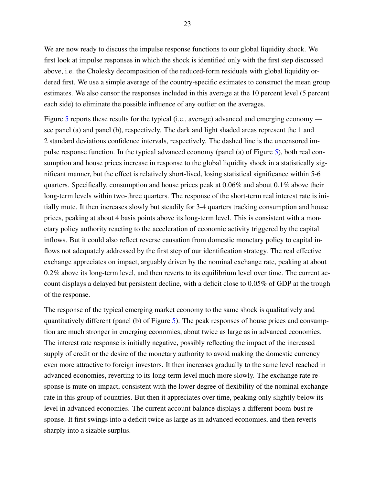We are now ready to discuss the impulse response functions to our global liquidity shock. We first look at impulse responses in which the shock is identified only with the first step discussed above, i.e. the Cholesky decomposition of the reduced-form residuals with global liquidity ordered first. We use a simple average of the country-specific estimates to construct the mean group estimates. We also censor the responses included in this average at the 10 percent level (5 percent each side) to eliminate the possible influence of any outlier on the averages.

Figure [5](#page-24-0) reports these results for the typical (i.e., average) advanced and emerging economy see panel (a) and panel (b), respectively. The dark and light shaded areas represent the 1 and 2 standard deviations confidence intervals, respectively. The dashed line is the uncensored impulse response function. In the typical advanced economy (panel (a) of Figure [5\)](#page-24-0), both real consumption and house prices increase in response to the global liquidity shock in a statistically significant manner, but the effect is relatively short-lived, losing statistical significance within 5-6 quarters. Specifically, consumption and house prices peak at 0.06% and about 0.1% above their long-term levels within two-three quarters. The response of the short-term real interest rate is initially mute. It then increases slowly but steadily for 3-4 quarters tracking consumption and house prices, peaking at about 4 basis points above its long-term level. This is consistent with a monetary policy authority reacting to the acceleration of economic activity triggered by the capital inflows. But it could also reflect reverse causation from domestic monetary policy to capital inflows not adequately addressed by the first step of our identification strategy. The real effective exchange appreciates on impact, arguably driven by the nominal exchange rate, peaking at about 0.2% above its long-term level, and then reverts to its equilibrium level over time. The current account displays a delayed but persistent decline, with a deficit close to 0.05% of GDP at the trough of the response.

The response of the typical emerging market economy to the same shock is qualitatively and quantitatively different (panel (b) of Figure [5\)](#page-24-0). The peak responses of house prices and consumption are much stronger in emerging economies, about twice as large as in advanced economies. The interest rate response is initially negative, possibly reflecting the impact of the increased supply of credit or the desire of the monetary authority to avoid making the domestic currency even more attractive to foreign investors. It then increases gradually to the same level reached in advanced economies, reverting to its long-term level much more slowly. The exchange rate response is mute on impact, consistent with the lower degree of flexibility of the nominal exchange rate in this group of countries. But then it appreciates over time, peaking only slightly below its level in advanced economies. The current account balance displays a different boom-bust response. It first swings into a deficit twice as large as in advanced economies, and then reverts sharply into a sizable surplus.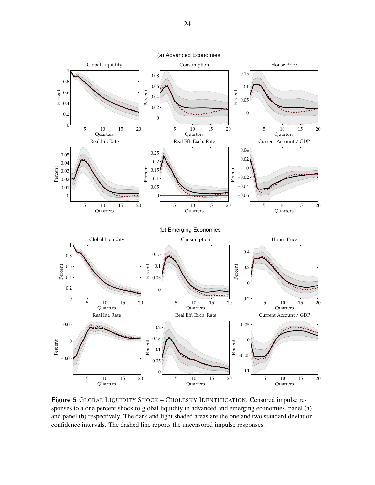<span id="page-24-0"></span>

Figure 5 GLOBAL LIQUIDITY SHOCK – CHOLESKY IDENTIFICATION. Censored impulse responses to a one percent shock to global liquidity in advanced and emerging economies, panel (a) and panel (b) respectively. The dark and light shaded areas are the one and two standard deviation confidence intervals. The dashed line reports the uncensored impulse responses.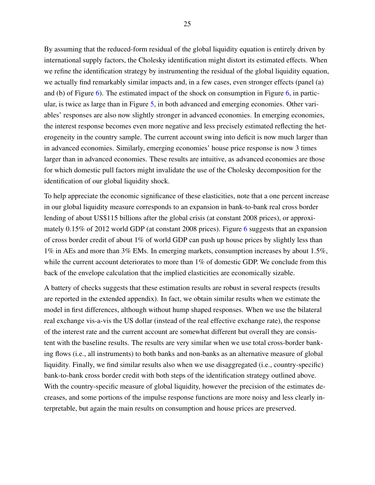By assuming that the reduced-form residual of the global liquidity equation is entirely driven by international supply factors, the Cholesky identification might distort its estimated effects. When we refine the identification strategy by instrumenting the residual of the global liquidity equation, we actually find remarkably similar impacts and, in a few cases, even stronger effects (panel (a) and (b) of Figure [6\)](#page-26-0). The estimated impact of the shock on consumption in Figure [6,](#page-26-0) in particular, is twice as large than in Figure [5,](#page-24-0) in both advanced and emerging economies. Other variables' responses are also now slightly stronger in advanced economies. In emerging economies, the interest response becomes even more negative and less precisely estimated reflecting the heterogeneity in the country sample. The current account swing into deficit is now much larger than in advanced economies. Similarly, emerging economies' house price response is now 3 times larger than in advanced economies. These results are intuitive, as advanced economies are those for which domestic pull factors might invalidate the use of the Cholesky decomposition for the identification of our global liquidity shock.

To help appreciate the economic significance of these elasticities, note that a one percent increase in our global liquidity measure corresponds to an expansion in bank-to-bank real cross border lending of about US\$115 billions after the global crisis (at constant 2008 prices), or approximately 0.15% of 2012 world GDP (at constant 2008 prices). Figure [6](#page-26-0) suggests that an expansion of cross border credit of about 1% of world GDP can push up house prices by slightly less than 1% in AEs and more than 3% EMs. In emerging markets, consumption increases by about 1.5%, while the current account deteriorates to more than 1% of domestic GDP. We conclude from this back of the envelope calculation that the implied elasticities are economically sizable.

A battery of checks suggests that these estimation results are robust in several respects (results are reported in the extended appendix). In fact, we obtain similar results when we estimate the model in first differences, although without hump shaped responses. When we use the bilateral real exchange vis-a-vis the US dollar (instead of the real effective exchange rate), the response of the interest rate and the current account are somewhat different but overall they are consistent with the baseline results. The results are very similar when we use total cross-border banking flows (i.e., all instruments) to both banks and non-banks as an alternative measure of global liquidity. Finally, we find similar results also when we use disaggregated (i.e., country-specific) bank-to-bank cross border credit with both steps of the identification strategy outlined above. With the country-specific measure of global liquidity, however the precision of the estimates decreases, and some portions of the impulse response functions are more noisy and less clearly interpretable, but again the main results on consumption and house prices are preserved.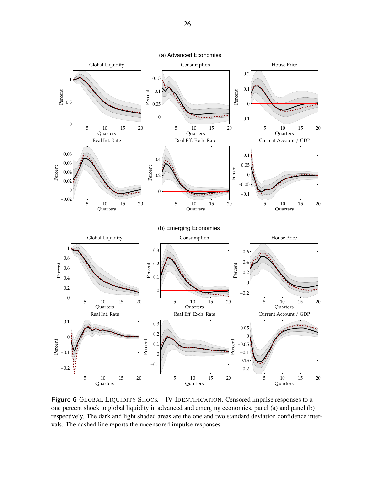<span id="page-26-0"></span>

Figure 6 GLOBAL LIQUIDITY SHOCK – IV IDENTIFICATION. Censored impulse responses to a one percent shock to global liquidity in advanced and emerging economies, panel (a) and panel (b) respectively. The dark and light shaded areas are the one and two standard deviation confidence intervals. The dashed line reports the uncensored impulse responses.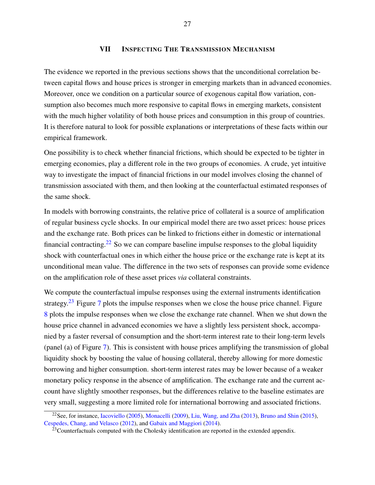#### VII INSPECTING THE TRANSMISSION MECHANISM

The evidence we reported in the previous sections shows that the unconditional correlation between capital flows and house prices is stronger in emerging markets than in advanced economies. Moreover, once we condition on a particular source of exogenous capital flow variation, consumption also becomes much more responsive to capital flows in emerging markets, consistent with the much higher volatility of both house prices and consumption in this group of countries. It is therefore natural to look for possible explanations or interpretations of these facts within our empirical framework.

One possibility is to check whether financial frictions, which should be expected to be tighter in emerging economies, play a different role in the two groups of economies. A crude, yet intuitive way to investigate the impact of financial frictions in our model involves closing the channel of transmission associated with them, and then looking at the counterfactual estimated responses of the same shock.

In models with borrowing constraints, the relative price of collateral is a source of amplification of regular business cycle shocks. In our empirical model there are two asset prices: house prices and the exchange rate. Both prices can be linked to frictions either in domestic or international financial contracting.<sup>[22](#page-27-0)</sup> So we can compare baseline impulse responses to the global liquidity shock with counterfactual ones in which either the house price or the exchange rate is kept at its unconditional mean value. The difference in the two sets of responses can provide some evidence on the amplification role of these asset prices *via* collateral constraints.

We compute the counterfactual impulse responses using the external instruments identification strategy.<sup>[23](#page-27-1)</sup> Figure [7](#page-28-0) plots the impulse responses when we close the house price channel. Figure [8](#page-30-0) plots the impulse responses when we close the exchange rate channel. When we shut down the house price channel in advanced economies we have a slightly less persistent shock, accompanied by a faster reversal of consumption and the short-term interest rate to their long-term levels (panel (a) of Figure [7\)](#page-28-0). This is consistent with house prices amplifying the transmission of global liquidity shock by boosting the value of housing collateral, thereby allowing for more domestic borrowing and higher consumption. short-term interest rates may be lower because of a weaker monetary policy response in the absence of amplification. The exchange rate and the current account have slightly smoother responses, but the differences relative to the baseline estimates are very small, suggesting a more limited role for international borrowing and associated frictions.

<span id="page-27-0"></span><sup>22</sup>See, for instance, [Iacoviello](#page-34-2) [\(2005\)](#page-34-2), [Monacelli](#page-34-3) [\(2009\)](#page-34-3), [Liu, Wang, and Zha](#page-34-4) [\(2013\)](#page-34-4), [Bruno and Shin](#page-33-0) [\(2015\)](#page-33-0), [Cespedes, Chang, and Velasco](#page-34-5) [\(2012\)](#page-34-5), and [Gabaix and Maggiori](#page-34-6) [\(2014\)](#page-34-6).

<span id="page-27-1"></span> $23$ Counterfactuals computed with the Cholesky identification are reported in the extended appendix.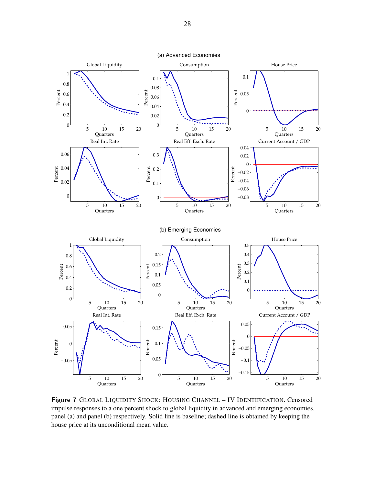<span id="page-28-0"></span>

Figure 7 GLOBAL LIQUIDITY SHOCK: HOUSING CHANNEL – IV IDENTIFICATION. Censored impulse responses to a one percent shock to global liquidity in advanced and emerging economies, panel (a) and panel (b) respectively. Solid line is baseline; dashed line is obtained by keeping the house price at its unconditional mean value.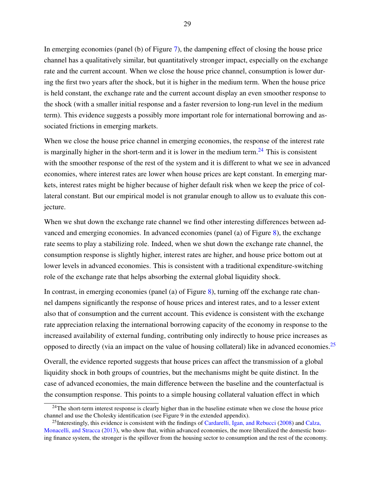In emerging economies (panel (b) of Figure [7\)](#page-28-0), the dampening effect of closing the house price channel has a qualitatively similar, but quantitatively stronger impact, especially on the exchange rate and the current account. When we close the house price channel, consumption is lower during the first two years after the shock, but it is higher in the medium term. When the house price is held constant, the exchange rate and the current account display an even smoother response to the shock (with a smaller initial response and a faster reversion to long-run level in the medium term). This evidence suggests a possibly more important role for international borrowing and associated frictions in emerging markets.

When we close the house price channel in emerging economies, the response of the interest rate is marginally higher in the short-term and it is lower in the medium term.<sup>[24](#page-29-0)</sup> This is consistent with the smoother response of the rest of the system and it is different to what we see in advanced economies, where interest rates are lower when house prices are kept constant. In emerging markets, interest rates might be higher because of higher default risk when we keep the price of collateral constant. But our empirical model is not granular enough to allow us to evaluate this conjecture.

When we shut down the exchange rate channel we find other interesting differences between advanced and emerging economies. In advanced economies (panel (a) of Figure [8\)](#page-30-0), the exchange rate seems to play a stabilizing role. Indeed, when we shut down the exchange rate channel, the consumption response is slightly higher, interest rates are higher, and house price bottom out at lower levels in advanced economies. This is consistent with a traditional expenditure-switching role of the exchange rate that helps absorbing the external global liquidity shock.

In contrast, in emerging economies (panel (a) of Figure [8\)](#page-30-0), turning off the exchange rate channel dampens significantly the response of house prices and interest rates, and to a lesser extent also that of consumption and the current account. This evidence is consistent with the exchange rate appreciation relaxing the international borrowing capacity of the economy in response to the increased availability of external funding, contributing only indirectly to house price increases as opposed to directly (via an impact on the value of housing collateral) like in advanced economies.<sup>[25](#page-29-1)</sup>

Overall, the evidence reported suggests that house prices can affect the transmission of a global liquidity shock in both groups of countries, but the mechanisms might be quite distinct. In the case of advanced economies, the main difference between the baseline and the counterfactual is the consumption response. This points to a simple housing collateral valuation effect in which

<span id="page-29-0"></span> $24$ The short-term interest response is clearly higher than in the baseline estimate when we close the house price channel and use the Cholesky identification (see Figure 9 in the extended appendix).

<span id="page-29-1"></span> $^{25}$ Interestingly, this evidence is consistent with the findings of [Cardarelli, Igan, and Rebucci](#page-33-16) [\(2008\)](#page-33-16) and [Calza,](#page-33-17) [Monacelli, and Stracca](#page-33-17) [\(2013\)](#page-33-17), who show that, within advanced economies, the more liberalized the domestic housing finance system, the stronger is the spillover from the housing sector to consumption and the rest of the economy.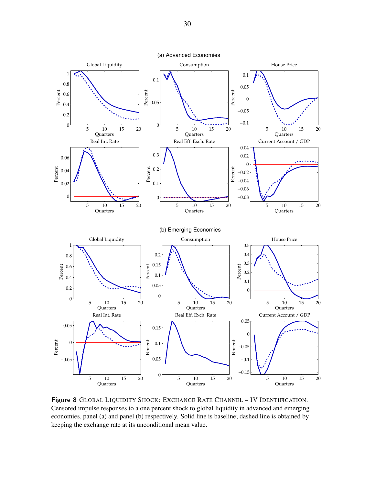<span id="page-30-0"></span>

Figure 8 GLOBAL LIQUIDITY SHOCK: EXCHANGE RATE CHANNEL – IV IDENTIFICATION. Censored impulse responses to a one percent shock to global liquidity in advanced and emerging economies, panel (a) and panel (b) respectively. Solid line is baseline; dashed line is obtained by keeping the exchange rate at its unconditional mean value.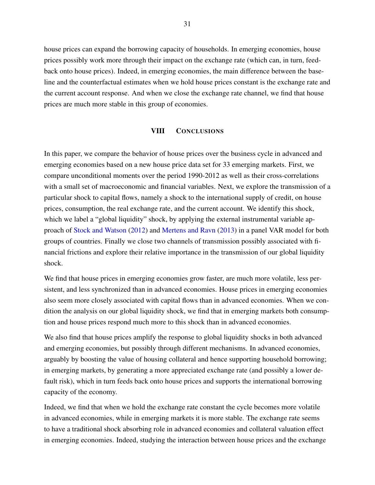house prices can expand the borrowing capacity of households. In emerging economies, house prices possibly work more through their impact on the exchange rate (which can, in turn, feedback onto house prices). Indeed, in emerging economies, the main difference between the baseline and the counterfactual estimates when we hold house prices constant is the exchange rate and the current account response. And when we close the exchange rate channel, we find that house prices are much more stable in this group of economies.

#### VIII CONCLUSIONS

In this paper, we compare the behavior of house prices over the business cycle in advanced and emerging economies based on a new house price data set for 33 emerging markets. First, we compare unconditional moments over the period 1990-2012 as well as their cross-correlations with a small set of macroeconomic and financial variables. Next, we explore the transmission of a particular shock to capital flows, namely a shock to the international supply of credit, on house prices, consumption, the real exchange rate, and the current account. We identify this shock, which we label a "global liquidity" shock, by applying the external instrumental variable approach of [Stock and Watson](#page-35-2) [\(2012\)](#page-35-2) and [Mertens and Ravn](#page-34-1) [\(2013\)](#page-34-1) in a panel VAR model for both groups of countries. Finally we close two channels of transmission possibly associated with financial frictions and explore their relative importance in the transmission of our global liquidity shock.

We find that house prices in emerging economies grow faster, are much more volatile, less persistent, and less synchronized than in advanced economies. House prices in emerging economies also seem more closely associated with capital flows than in advanced economies. When we condition the analysis on our global liquidity shock, we find that in emerging markets both consumption and house prices respond much more to this shock than in advanced economies.

We also find that house prices amplify the response to global liquidity shocks in both advanced and emerging economies, but possibly through different mechanisms. In advanced economies, arguably by boosting the value of housing collateral and hence supporting household borrowing; in emerging markets, by generating a more appreciated exchange rate (and possibly a lower default risk), which in turn feeds back onto house prices and supports the international borrowing capacity of the economy.

Indeed, we find that when we hold the exchange rate constant the cycle becomes more volatile in advanced economies, while in emerging markets it is more stable. The exchange rate seems to have a traditional shock absorbing role in advanced economies and collateral valuation effect in emerging economies. Indeed, studying the interaction between house prices and the exchange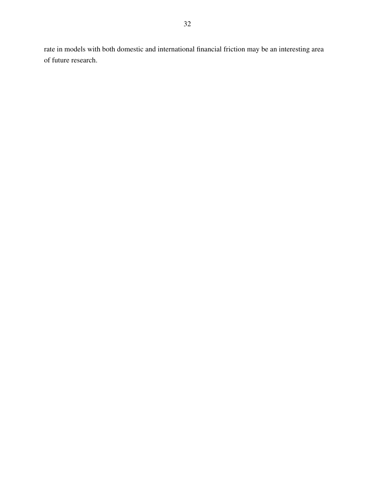rate in models with both domestic and international financial friction may be an interesting area of future research.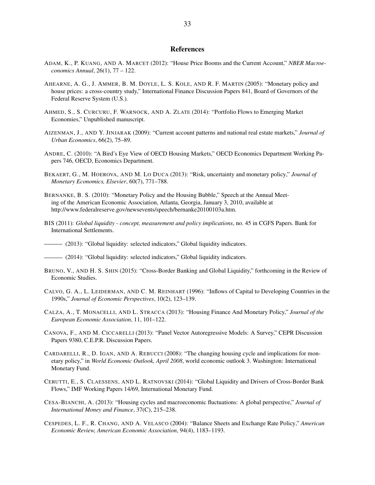#### References

- <span id="page-33-5"></span>ADAM, K., P. KUANG, AND A. MARCET (2012): "House Price Booms and the Current Account," *NBER Macroeconomics Annual*, 26(1), 77 – 122.
- <span id="page-33-7"></span>AHEARNE, A. G., J. AMMER, B. M. DOYLE, L. S. KOLE, AND R. F. MARTIN (2005): "Monetary policy and house prices: a cross-country study," International Finance Discussion Papers 841, Board of Governors of the Federal Reserve System (U.S.).
- <span id="page-33-1"></span>AHMED, S., S. CURCURU, F. WARNOCK, AND A. ZLATE (2014): "Portfolio Flows to Emerging Market Economies," Unpublished manuscript.
- <span id="page-33-6"></span>AIZENMAN, J., AND Y. JINJARAK (2009): "Current account patterns and national real estate markets," *Journal of Urban Economics*, 66(2), 75–89.
- <span id="page-33-3"></span>ANDRE, C. (2010): "A Bird's Eye View of OECD Housing Markets," OECD Economics Department Working Papers 746, OECD, Economics Department.
- <span id="page-33-13"></span>BEKAERT, G., M. HOEROVA, AND M. LO DUCA (2013): "Risk, uncertainty and monetary policy," *Journal of Monetary Economics, Elsevier*, 60(7), 771–788.
- <span id="page-33-8"></span>BERNANKE, B. S. (2010): "Monetary Policy and the Housing Bubble," Speech at the Annual Meeting of the American Economic Association, Atlanta, Georgia, January 3, 2010, available at http://www.federalreserve.gov/newsevents/speech/bernanke20100103a.htm.
- <span id="page-33-9"></span>BIS (2011): *Global liquidity - concept, measurement and policy implications*, no. 45 in CGFS Papers. Bank for International Settlements.

<span id="page-33-11"></span><span id="page-33-10"></span>(2013): "Global liquidity: selected indicators," Global liquidity indicators.

(2014): "Global liquidity: selected indicators," Global liquidity indicators.

- <span id="page-33-0"></span>BRUNO, V., AND H. S. SHIN (2015): "Cross-Border Banking and Global Liquidity," forthcoming in the Review of Economic Studies.
- <span id="page-33-14"></span>CALVO, G. A., L. LEIDERMAN, AND C. M. REINHART (1996): "Inflows of Capital to Developing Countries in the 1990s," *Journal of Economic Perspectives*, 10(2), 123–139.
- <span id="page-33-17"></span>CALZA, A., T. MONACELLI, AND L. STRACCA (2013): "Housing Finance And Monetary Policy," *Journal of the European Economic Association*, 11, 101–122.
- <span id="page-33-15"></span>CANOVA, F., AND M. CICCARELLI (2013): "Panel Vector Autoregressive Models: A Survey," CEPR Discussion Papers 9380, C.E.P.R. Discussion Papers.
- <span id="page-33-16"></span>CARDARELLI, R., D. IGAN, AND A. REBUCCI (2008): "The changing housing cycle and implications for monetary policy," in *World Economic Outlook, April 2008*, world economic outlook 3. Washington: International Monetary Fund.
- <span id="page-33-12"></span>CERUTTI, E., S. CLAESSENS, AND L. RATNOVSKI (2014): "Global Liquidity and Drivers of Cross-Border Bank Flows," IMF Working Papers 14/69, International Monetary Fund.
- <span id="page-33-4"></span>CESA-BIANCHI, A. (2013): "Housing cycles and macroeconomic fluctuations: A global perspective," *Journal of International Money and Finance*, 37(C), 215–238.
- <span id="page-33-2"></span>CESPEDES, L. F., R. CHANG, AND A. VELASCO (2004): "Balance Sheets and Exchange Rate Policy," *American Economic Review, American Economic Association*, 94(4), 1183–1193.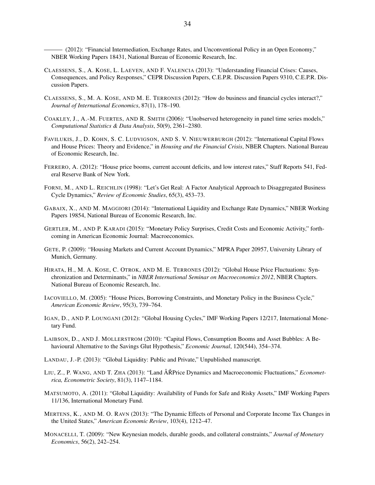<span id="page-34-5"></span>(2012): "Financial Intermediation, Exchange Rates, and Unconventional Policy in an Open Economy," NBER Working Papers 18431, National Bureau of Economic Research, Inc.

- <span id="page-34-0"></span>CLAESSENS, S., A. KOSE, L. LAEVEN, AND F. VALENCIA (2013): "Understanding Financial Crises: Causes, Consequences, and Policy Responses," CEPR Discussion Papers, C.E.P.R. Discussion Papers 9310, C.E.P.R. Discussion Papers.
- <span id="page-34-9"></span>CLAESSENS, S., M. A. KOSE, AND M. E. TERRONES (2012): "How do business and financial cycles interact?," *Journal of International Economics*, 87(1), 178–190.
- <span id="page-34-17"></span>COAKLEY, J., A.-M. FUERTES, AND R. SMITH (2006): "Unobserved heterogeneity in panel time series models," *Computational Statistics & Data Analysis*, 50(9), 2361–2380.
- <span id="page-34-11"></span>FAVILUKIS, J., D. KOHN, S. C. LUDVIGSON, AND S. V. NIEUWERBURGH (2012): "International Capital Flows and House Prices: Theory and Evidence," in *Housing and the Financial Crisis*, NBER Chapters. National Bureau of Economic Research, Inc.
- <span id="page-34-12"></span>FERRERO, A. (2012): "House price booms, current account deficits, and low interest rates," Staff Reports 541, Federal Reserve Bank of New York.
- <span id="page-34-15"></span>FORNI, M., AND L. REICHLIN (1998): "Let's Get Real: A Factor Analytical Approach to Disaggregated Business Cycle Dynamics," *Review of Economic Studies*, 65(3), 453–73.
- <span id="page-34-6"></span>GABAIX, X., AND M. MAGGIORI (2014): "International Liquidity and Exchange Rate Dynamics," NBER Working Papers 19854, National Bureau of Economic Research, Inc.
- <span id="page-34-18"></span>GERTLER, M., AND P. KARADI (2015): "Monetary Policy Surprises, Credit Costs and Economic Activity," forthcoming in American Economic Journal: Macroeconomics.
- <span id="page-34-13"></span>GETE, P. (2009): "Housing Markets and Current Account Dynamics," MPRA Paper 20957, University Library of Munich, Germany.
- <span id="page-34-7"></span>HIRATA, H., M. A. KOSE, C. OTROK, AND M. E. TERRONES (2012): "Global House Price Fluctuations: Synchronization and Determinants," in *NBER International Seminar on Macroeconomics 2012*, NBER Chapters. National Bureau of Economic Research, Inc.
- <span id="page-34-2"></span>IACOVIELLO, M. (2005): "House Prices, Borrowing Constraints, and Monetary Policy in the Business Cycle," *American Economic Review*, 95(3), 739–764.
- <span id="page-34-8"></span>IGAN, D., AND P. LOUNGANI (2012): "Global Housing Cycles," IMF Working Papers 12/217, International Monetary Fund.
- <span id="page-34-10"></span>LAIBSON, D., AND J. MOLLERSTROM (2010): "Capital Flows, Consumption Booms and Asset Bubbles: A Behavioural Alternative to the Savings Glut Hypothesis," *Economic Journal*, 120(544), 354–374.
- <span id="page-34-14"></span>LANDAU, J.-P. (2013): "Global Liquidity: Public and Private," Unpublished manuscript.
- <span id="page-34-4"></span>LIU, Z., P. WANG, AND T. ZHA (2013): "Land  $\hat{A}$ RPrice Dynamics and Macroeconomic Fluctuations," *Econometrica, Econometric Society*, 81(3), 1147–1184.
- <span id="page-34-16"></span>MATSUMOTO, A. (2011): "Global Liquidity: Availability of Funds for Safe and Risky Assets," IMF Working Papers 11/136, International Monetary Fund.
- <span id="page-34-1"></span>MERTENS, K., AND M. O. RAVN (2013): "The Dynamic Effects of Personal and Corporate Income Tax Changes in the United States," *American Economic Review*, 103(4), 1212–47.
- <span id="page-34-3"></span>MONACELLI, T. (2009): "New Keynesian models, durable goods, and collateral constraints," *Journal of Monetary Economics*, 56(2), 242–254.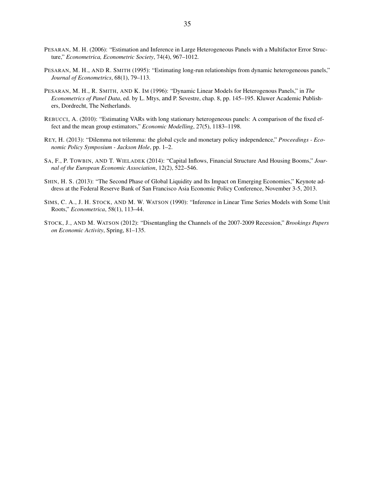- <span id="page-35-4"></span>PESARAN, M. H. (2006): "Estimation and Inference in Large Heterogeneous Panels with a Multifactor Error Structure," *Econometrica, Econometric Society*, 74(4), 967–1012.
- <span id="page-35-6"></span>PESARAN, M. H., AND R. SMITH (1995): "Estimating long-run relationships from dynamic heterogeneous panels," *Journal of Econometrics*, 68(1), 79–113.
- <span id="page-35-7"></span>PESARAN, M. H., R. SMITH, AND K. IM (1996): "Dynamic Linear Models for Heterogenous Panels," in *The Econometrics of Panel Data*, ed. by L. Mtys, and P. Sevestre, chap. 8, pp. 145–195. Kluwer Academic Publishers, Dordrecht, The Netherlands.
- <span id="page-35-8"></span>REBUCCI, A. (2010): "Estimating VARs with long stationary heterogeneous panels: A comparison of the fixed effect and the mean group estimators," *Economic Modelling*, 27(5), 1183–1198.
- <span id="page-35-1"></span>REY, H. (2013): "Dilemma not trilemma: the global cycle and monetary policy independence," *Proceedings - Economic Policy Symposium - Jackson Hole*, pp. 1–2.
- <span id="page-35-3"></span>SA, F., P. TOWBIN, AND T. WIELADEK (2014): "Capital Inflows, Financial Structure And Housing Booms," *Journal of the European Economic Association*, 12(2), 522–546.
- <span id="page-35-0"></span>SHIN, H. S. (2013): "The Second Phase of Global Liquidity and Its Impact on Emerging Economies," Keynote address at the Federal Reserve Bank of San Francisco Asia Economic Policy Conference, November 3-5, 2013.
- <span id="page-35-5"></span>SIMS, C. A., J. H. STOCK, AND M. W. WATSON (1990): "Inference in Linear Time Series Models with Some Unit Roots," *Econometrica*, 58(1), 113–44.
- <span id="page-35-2"></span>STOCK, J., AND M. WATSON (2012): "Disentangling the Channels of the 2007-2009 Recession," *Brookings Papers on Economic Activity*, Spring, 81–135.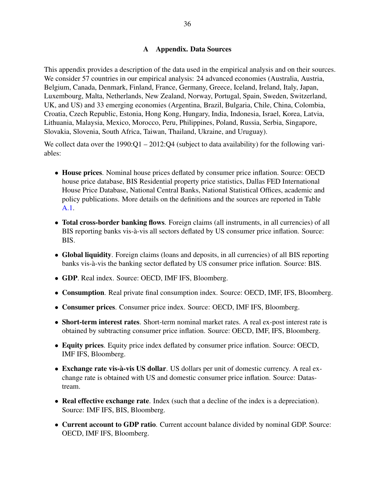#### A Appendix. Data Sources

<span id="page-36-0"></span>This appendix provides a description of the data used in the empirical analysis and on their sources. We consider 57 countries in our empirical analysis: 24 advanced economies (Australia, Austria, Belgium, Canada, Denmark, Finland, France, Germany, Greece, Iceland, Ireland, Italy, Japan, Luxembourg, Malta, Netherlands, New Zealand, Norway, Portugal, Spain, Sweden, Switzerland, UK, and US) and 33 emerging economies (Argentina, Brazil, Bulgaria, Chile, China, Colombia, Croatia, Czech Republic, Estonia, Hong Kong, Hungary, India, Indonesia, Israel, Korea, Latvia, Lithuania, Malaysia, Mexico, Morocco, Peru, Philippines, Poland, Russia, Serbia, Singapore, Slovakia, Slovenia, South Africa, Taiwan, Thailand, Ukraine, and Uruguay).

We collect data over the 1990:Q1 – 2012:Q4 (subject to data availability) for the following variables:

- House prices. Nominal house prices deflated by consumer price inflation. Source: OECD house price database, BIS Residential property price statistics, Dallas FED International House Price Database, National Central Banks, National Statistical Offices, academic and policy publications. More details on the definitions and the sources are reported in Table [A.1.](#page-37-0)
- Total cross-border banking flows. Foreign claims (all instruments, in all currencies) of all BIS reporting banks vis-à-vis all sectors deflated by US consumer price inflation. Source: BIS.
- Global liquidity. Foreign claims (loans and deposits, in all currencies) of all BIS reporting banks vis-à-vis the banking sector deflated by US consumer price inflation. Source: BIS.
- GDP. Real index. Source: OECD, IMF IFS, Bloomberg.
- Consumption. Real private final consumption index. Source: OECD, IMF, IFS, Bloomberg.
- Consumer prices. Consumer price index. Source: OECD, IMF IFS, Bloomberg.
- Short-term interest rates. Short-term nominal market rates. A real ex-post interest rate is obtained by subtracting consumer price inflation. Source: OECD, IMF, IFS, Bloomberg.
- Equity prices. Equity price index deflated by consumer price inflation. Source: OECD, IMF IFS, Bloomberg.
- Exchange rate vis-à-vis US dollar. US dollars per unit of domestic currency. A real exchange rate is obtained with US and domestic consumer price inflation. Source: Datastream.
- Real effective exchange rate. Index (such that a decline of the index is a depreciation). Source: IMF IFS, BIS, Bloomberg.
- Current account to GDP ratio. Current account balance divided by nominal GDP. Source: OECD, IMF IFS, Bloomberg.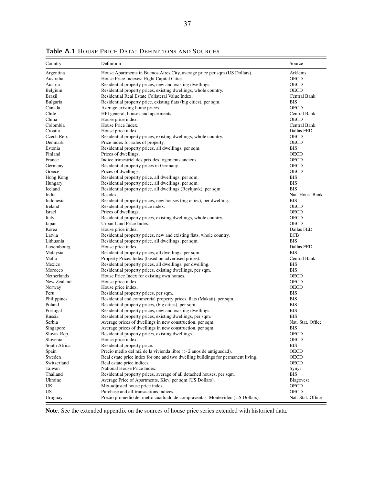| Country       | Definition                                                                       | Source              |
|---------------|----------------------------------------------------------------------------------|---------------------|
| Argentina     | House Apartments in Buenos Aires City, average price per sqm (US Dollars).       | Arklems             |
| Australia     | House Price Indexes: Eight Capital Cities.                                       | <b>OECD</b>         |
| Austria       | Residential property prices, new and existing dwellings.                         | <b>OECD</b>         |
| Belgium       | Residential property prices, existing dwellings, whole country.                  | <b>OECD</b>         |
| <b>Brazil</b> | Residential Real Estate Collateral Value Index.                                  | Central Bank        |
| Bulgaria      | Residential property price, existing flats (big cities), per sqm.                | <b>BIS</b>          |
| Canada        | Average existing home prices.                                                    | <b>OECD</b>         |
| Chile         | HPI general, houses and apartments.                                              | Central Bank        |
| China         | House price index.                                                               | <b>OECD</b>         |
| Colombia      | House Price Index.                                                               | <b>Central Bank</b> |
| Croatia       | House price index                                                                | Dallas FED          |
| Czech Rep.    | Residential property prices, existing dwellings, whole country.                  | <b>OECD</b>         |
| Denmark       | Price index for sales of property.                                               | <b>OECD</b>         |
| Estonia       | Residential property prices, all dwellings, per sqm.                             | <b>BIS</b>          |
| Finland       | Prices of dwellings.                                                             | <b>OECD</b>         |
| France        | Indice trimestriel des prix des logements anciens.                               | <b>OECD</b>         |
| Germany       | Residential property prices in Germany.                                          | <b>OECD</b>         |
| Greece        | Prices of dwellings.                                                             | <b>OECD</b>         |
| Hong Kong     | Residential property price, all dwellings, per sqm.                              | <b>BIS</b>          |
| Hungary       | Residential property price, all dwellings, per sqm.                              | <b>BIS</b>          |
| Iceland       | Residential property price, all dwellings (Reykjavk), per sqm.                   | <b>BIS</b>          |
| India         | Residex.                                                                         | Nat. Hous. Bank     |
| Indonesia     | Residential property prices, new houses (big cities), per dwelling.              | <b>BIS</b>          |
| Ireland       | Residential property price index.                                                | <b>OECD</b>         |
| Israel        | Prices of dwellings.                                                             | <b>OECD</b>         |
| Italy         | Residential property prices, existing dwellings, whole country.                  | <b>OECD</b>         |
| Japan         | Urban Land Price Index.                                                          | <b>OECD</b>         |
| Korea         | House price index.                                                               | Dallas FED          |
| Latvia        | Residential property prices, new and existing flats, whole country.              | <b>ECB</b>          |
| Lithuania     | Residential property price, all dwellings, per sqm.                              | <b>BIS</b>          |
| Luxembourg    | House price index.                                                               | Dallas FED          |
| Malaysia      | Residential property prices, all dwellings, per sqm.                             | <b>BIS</b>          |
| Malta         | Property Prices Index (based on advertised prices).                              | Central Bank        |
| Mexico        | Residential property prices, all dwellings, per dwelling.                        | <b>BIS</b>          |
| Morocco       | Residential property prices, existing dwellings, per sqm.                        | <b>BIS</b>          |
| Netherlands   | House Price Index for existing own homes.                                        | <b>OECD</b>         |
| New Zealand   | House price index.                                                               | <b>OECD</b>         |
| Norway        | House price index.                                                               | <b>OECD</b>         |
| Peru          | Residential property prices, per sqm.                                            | <b>BIS</b>          |
| Philippines   | Residential and commercial property prices, flats (Makati), per sqm.             | <b>BIS</b>          |
| Poland        | Residential property prices, (big cities), per sqm.                              | <b>BIS</b>          |
| Portugal      | Residential property prices, new and existing dwellings.                         | <b>BIS</b>          |
| Russia        | Residential property prices, existing dwellings, per sqm.                        | <b>BIS</b>          |
| Serbia        | Average prices of dwellings in new construction, per sqm.                        | Nat. Stat. Office   |
| Singapore     | Average prices of dwellings in new construction, per sqm.                        | BIS                 |
| Slovak Rep.   | Residential property prices, existing dwellings.                                 | OECD                |
| Slovenia      | House price index.                                                               | OECD                |
| South Africa  | Residential property price.                                                      | <b>BIS</b>          |
| Spain         | Precio medio del m2 de la vivienda libre ( $>$ 2 anos de antiguedad).            | OECD                |
| Sweden        | Real estate price index for one and two dwelling buildings for permanent living. | <b>OECD</b>         |
| Switzerland   | Real estate price indices.                                                       | OECD                |
| Taiwan        | National House Price Index.                                                      | Synyi               |
| Thailand      | Residential property prices, average of all detached houses, per sqm.            | <b>BIS</b>          |
| Ukraine       | Average Price of Apartments, Kiev, per sqm (US Dollars).                         | <b>Blagovest</b>    |
| UK            | Mix-adjusted house price index.                                                  | <b>OECD</b>         |
| US            | Purchase and all-transactions indices.                                           | <b>OECD</b>         |
|               | Precio promedio del metro cuadrado de compraventas, Montevideo (US Dollars).     |                     |
| Uruguay       |                                                                                  | Nat. Stat. Office   |

<span id="page-37-0"></span>Table A.1 HOUSE PRICE DATA: DEFINITIONS AND SOURCES

Note. See the extended appendix on the sources of house price series extended with historical data.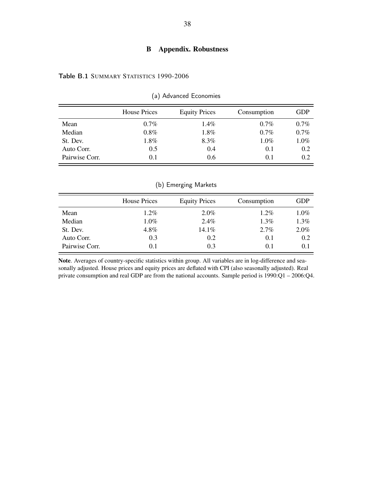# B Appendix. Robustness

|                | <b>House Prices</b> | <b>Equity Prices</b> | Consumption | GDP     |
|----------------|---------------------|----------------------|-------------|---------|
| Mean           | $0.7\%$             | $1.4\%$              | $0.7\%$     | $0.7\%$ |
| Median         | $0.8\%$             | $1.8\%$              | $0.7\%$     | $0.7\%$ |
| St. Dev.       | $1.8\%$             | 8.3%                 | $1.0\%$     | $1.0\%$ |
| Auto Corr.     | 0.5                 | 0.4                  | 0.1         | 0.2     |
| Pairwise Corr. | $\rm 0.1$           | 0.6                  | 0.1         | 0.2     |

<span id="page-38-1"></span><span id="page-38-0"></span>Table B.1 SUMMARY STATISTICS 1990-2006

(a) Advanced Economies

(b) Emerging Markets

|                | <b>House Prices</b> | <b>Equity Prices</b> | Consumption | GDP     |
|----------------|---------------------|----------------------|-------------|---------|
| Mean           | $1.2\%$             | $2.0\%$              | $1.2\%$     | $1.0\%$ |
| Median         | $1.0\%$             | 2.4%                 | $1.3\%$     | $1.3\%$ |
| St. Dev.       | 4.8%                | $14.1\%$             | $2.7\%$     | $2.0\%$ |
| Auto Corr.     | 0.3                 | 0.2                  | 0.1         | 0.2     |
| Pairwise Corr. | 0.1                 | 0.3                  | 0.1         | 0.1     |

Note. Averages of country-specific statistics within group. All variables are in log-difference and seasonally adjusted. House prices and equity prices are deflated with CPI (also seasonally adjusted). Real private consumption and real GDP are from the national accounts. Sample period is 1990:Q1 – 2006:Q4.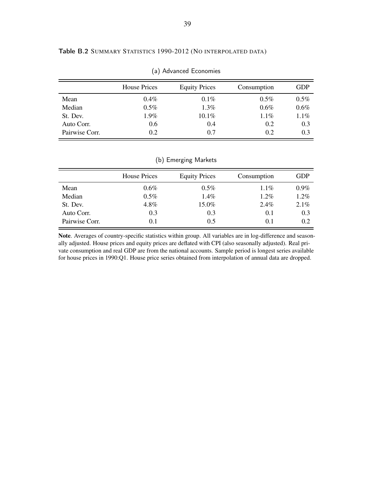|                | <b>House Prices</b> | <b>Equity Prices</b> | Consumption | <b>GDP</b> |
|----------------|---------------------|----------------------|-------------|------------|
| Mean           | $0.4\%$             | $0.1\%$              | $0.5\%$     | $0.5\%$    |
| Median         | $0.5\%$             | $1.3\%$              | $0.6\%$     | 0.6%       |
| St. Dev.       | $1.9\%$             | $10.1\%$             | $1.1\%$     | $1.1\%$    |
| Auto Corr.     | 0.6                 | 0.4                  | 0.2         | 0.3        |
| Pairwise Corr. | 0.2                 | 0.7                  | 0.2         | 0.3        |

(a) Advanced Economies

<span id="page-39-0"></span>Table B.2 SUMMARY STATISTICS 1990-2012 (NO INTERPOLATED DATA)

(b) Emerging Markets

|                | <b>House Prices</b> | <b>Equity Prices</b> | Consumption | GDP     |
|----------------|---------------------|----------------------|-------------|---------|
| Mean           | $0.6\%$             | $0.5\%$              | $1.1\%$     | $0.9\%$ |
| Median         | $0.5\%$             | 1.4%                 | $1.2\%$     | 1.2%    |
| St. Dev.       | 4.8%                | 15.0%                | $2.4\%$     | 2.1%    |
| Auto Corr.     | 0.3                 | 0.3                  | 0.1         | 0.3     |
| Pairwise Corr. | 0.1                 | 0.5                  | 0.1         | 0.2     |

Note. Averages of country-specific statistics within group. All variables are in log-difference and seasonally adjusted. House prices and equity prices are deflated with CPI (also seasonally adjusted). Real private consumption and real GDP are from the national accounts. Sample period is longest series available for house prices in 1990:Q1. House price series obtained from interpolation of annual data are dropped.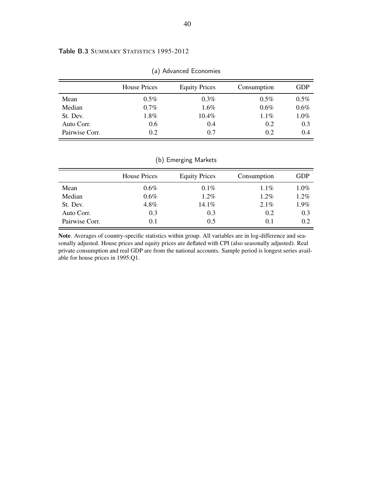|                | <b>House Prices</b> | <b>Equity Prices</b> | Consumption | <b>GDP</b> |
|----------------|---------------------|----------------------|-------------|------------|
| Mean           | $0.5\%$             | $0.3\%$              | $0.5\%$     | $0.5\%$    |
| Median         | $0.7\%$             | $1.6\%$              | 0.6%        | $0.6\%$    |
| St. Dev.       | 1.8%                | 10.4%                | $1.1\%$     | $1.0\%$    |
| Auto Corr.     | 0.6                 | 0.4                  | 0.2         | 0.3        |
| Pairwise Corr. | 0.2                 | 0.7                  | 0.2         | 0.4        |

(a) Advanced Economies

<span id="page-40-0"></span>Table B.3 SUMMARY STATISTICS 1995-2012

(b) Emerging Markets

|                | <b>House Prices</b> | <b>Equity Prices</b> | Consumption | GDP     |
|----------------|---------------------|----------------------|-------------|---------|
| Mean           | $0.6\%$             | $0.1\%$              | $1.1\%$     | $1.0\%$ |
| Median         | $0.6\%$             | $1.2\%$              | $1.2\%$     | $1.2\%$ |
| St. Dev.       | 4.8%                | $14.1\%$             | $2.1\%$     | 1.9%    |
| Auto Corr.     | 0.3                 | 0.3                  | 0.2         | 0.3     |
| Pairwise Corr. | 0.1                 | 0.5                  | 0.1         | 0.2     |

Note. Averages of country-specific statistics within group. All variables are in log-difference and seasonally adjusted. House prices and equity prices are deflated with CPI (also seasonally adjusted). Real private consumption and real GDP are from the national accounts. Sample period is longest series available for house prices in 1995:Q1.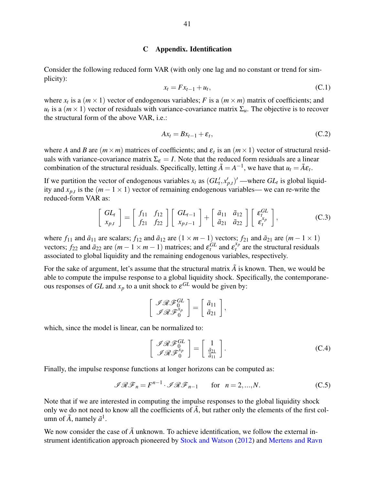#### C Appendix. Identification

<span id="page-41-0"></span>Consider the following reduced form VAR (with only one lag and no constant or trend for simplicity):

<span id="page-41-1"></span>
$$
x_t = F x_{t-1} + u_t, \tag{C.1}
$$

where  $x_t$  is a  $(m \times 1)$  vector of endogenous variables; *F* is a  $(m \times m)$  matrix of coefficients; and  $u_t$  is a  $(m \times 1)$  vector of residuals with variance-covariance matrix  $\Sigma_u$ . The objective is to recover the structural form of the above VAR, i.e.:

$$
Ax_t = Bx_{t-1} + \varepsilon_t, \tag{C.2}
$$

where *A* and *B* are  $(m \times m)$  matrices of coefficients; and  $\varepsilon_t$  is an  $(m \times 1)$  vector of structural residuals with variance-covariance matrix  $\Sigma_{\epsilon} = I$ . Note that the reduced form residuals are a linear combination of the structural residuals. Specifically, letting  $\tilde{A} = A^{-1}$ , we have that  $u_t = \tilde{A} \varepsilon_t$ .

If we partition the vector of endogenous variables  $x_t$  as  $(GL'_t, x'_{p,t})'$  —where  $GL_t$  is global liquidity and  $x_{p,t}$  is the  $(m-1 \times 1)$  vector of remaining endogenous variables— we can re-write the reduced-form VAR as:

$$
\begin{bmatrix}\nGL_t \\
x_{p,t}\n\end{bmatrix} =\n\begin{bmatrix}\nf_{11} & f_{12} \\
f_{21} & f_{22}\n\end{bmatrix}\n\begin{bmatrix}\nGL_{t-1} \\
x_{p,t-1}\n\end{bmatrix} +\n\begin{bmatrix}\n\tilde{a}_{11} & \tilde{a}_{12} \\
\tilde{a}_{21} & \tilde{a}_{22}\n\end{bmatrix}\n\begin{bmatrix}\n\varepsilon_t^{GL} \\
\varepsilon_t^{x_p}\n\end{bmatrix},
$$
\n(C.3)

where  $f_{11}$  and  $\tilde{a}_{11}$  are scalars;  $f_{12}$  and  $\tilde{a}_{12}$  are  $(1 \times m - 1)$  vectors;  $f_{21}$  and  $\tilde{a}_{21}$  are  $(m - 1 \times 1)$ vectors;  $f_{22}$  and  $\tilde{a}_{22}$  are  $(m-1 \times m-1)$  matrices; and  $\varepsilon_t^{GL}$  and  $\varepsilon_t^{X_p}$  $t_t^{x_p}$  are the structural residuals associated to global liquidity and the remaining endogenous variables, respectively.

For the sake of argument, let's assume that the structural matrix A is known. Then, we would be able to compute the impulse response to a global liquidity shock. Specifically, the contemporaneous responses of *GL* and  $x_p$  to a unit shock to  $\varepsilon^{GL}$  would be given by:

$$
\left[\begin{array}{c} \mathscr{F}\mathscr{R}\mathscr{F}_{0}^{GL} \\ \mathscr{F}\mathscr{R}\mathscr{F}_{0}^{x_{p}} \end{array}\right] = \left[\begin{array}{c} \tilde{a}_{11} \\ \tilde{a}_{21} \end{array}\right],
$$

which, since the model is linear, can be normalized to:

$$
\begin{bmatrix} \mathcal{I}\mathcal{R}\mathcal{F}_0^{GL} \\ \mathcal{I}\mathcal{R}\mathcal{F}_0^{x_p} \end{bmatrix} = \begin{bmatrix} 1 \\ \frac{\tilde{a}_{21}}{\tilde{a}_{11}} \end{bmatrix}.
$$
 (C.4)

Finally, the impulse response functions at longer horizons can be computed as:

<span id="page-41-2"></span>
$$
\mathcal{I}\mathcal{R}\mathcal{F}_n = F^{n-1} \cdot \mathcal{I}\mathcal{R}\mathcal{F}_{n-1} \qquad \text{for} \quad n = 2, ..., N. \tag{C.5}
$$

Note that if we are interested in computing the impulse responses to the global liquidity shock only we do not need to know all the coefficients of  $\tilde{A}$ , but rather only the elements of the first column of  $\tilde{A}$ , namely  $\tilde{a}^1$ .

We now consider the case of  $\tilde{A}$  unknown. To achieve identification, we follow the external instrument identification approach pioneered by [Stock and Watson](#page-35-2) [\(2012\)](#page-35-2) and [Mertens and Ravn](#page-34-1)